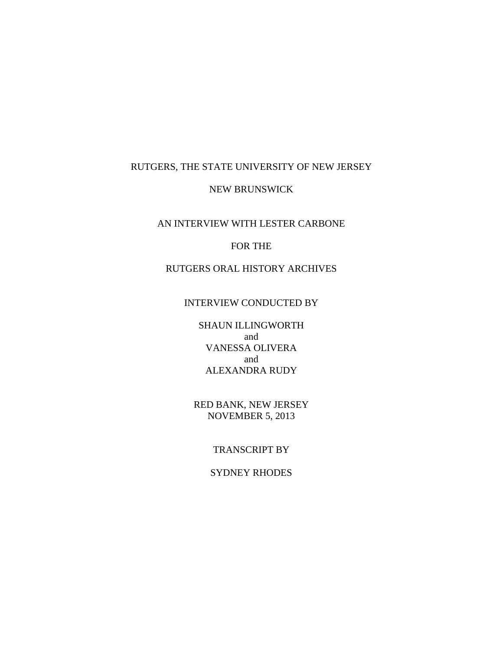### RUTGERS, THE STATE UNIVERSITY OF NEW JERSEY

#### NEW BRUNSWICK

## AN INTERVIEW WITH LESTER CARBONE

### FOR THE

## RUTGERS ORAL HISTORY ARCHIVES

### INTERVIEW CONDUCTED BY

SHAUN ILLINGWORTH and VANESSA OLIVERA and ALEXANDRA RUDY

RED BANK, NEW JERSEY NOVEMBER 5, 2013

## TRANSCRIPT BY

## SYDNEY RHODES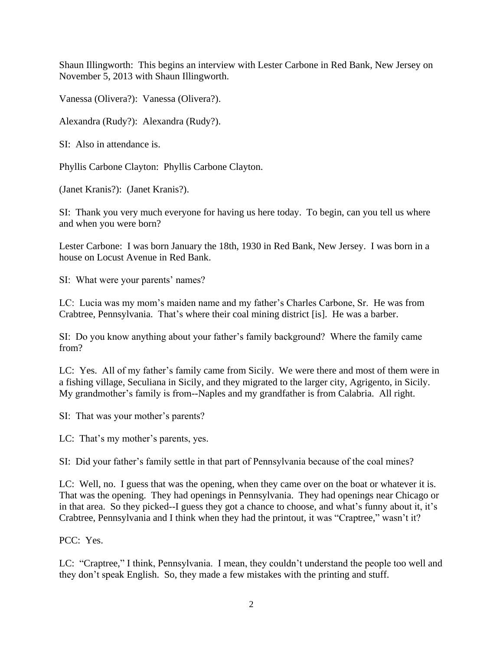Shaun Illingworth: This begins an interview with Lester Carbone in Red Bank, New Jersey on November 5, 2013 with Shaun Illingworth.

Vanessa (Olivera?): Vanessa (Olivera?).

Alexandra (Rudy?): Alexandra (Rudy?).

SI: Also in attendance is.

Phyllis Carbone Clayton: Phyllis Carbone Clayton.

(Janet Kranis?): (Janet Kranis?).

SI: Thank you very much everyone for having us here today. To begin, can you tell us where and when you were born?

Lester Carbone: I was born January the 18th, 1930 in Red Bank, New Jersey. I was born in a house on Locust Avenue in Red Bank.

SI: What were your parents' names?

LC: Lucia was my mom's maiden name and my father's Charles Carbone, Sr. He was from Crabtree, Pennsylvania. That's where their coal mining district [is]. He was a barber.

SI: Do you know anything about your father's family background? Where the family came from?

LC: Yes. All of my father's family came from Sicily. We were there and most of them were in a fishing village, Seculiana in Sicily, and they migrated to the larger city, Agrigento, in Sicily. My grandmother's family is from--Naples and my grandfather is from Calabria. All right.

SI: That was your mother's parents?

LC: That's my mother's parents, yes.

SI: Did your father's family settle in that part of Pennsylvania because of the coal mines?

LC: Well, no. I guess that was the opening, when they came over on the boat or whatever it is. That was the opening. They had openings in Pennsylvania. They had openings near Chicago or in that area. So they picked--I guess they got a chance to choose, and what's funny about it, it's Crabtree, Pennsylvania and I think when they had the printout, it was "Craptree," wasn't it?

PCC: Yes.

LC: "Craptree," I think, Pennsylvania. I mean, they couldn't understand the people too well and they don't speak English. So, they made a few mistakes with the printing and stuff.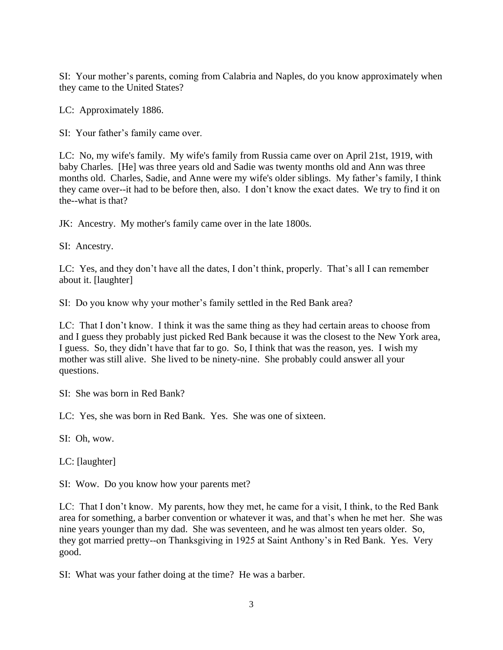SI: Your mother's parents, coming from Calabria and Naples, do you know approximately when they came to the United States?

LC: Approximately 1886.

SI: Your father's family came over.

LC: No, my wife's family. My wife's family from Russia came over on April 21st, 1919, with baby Charles. [He] was three years old and Sadie was twenty months old and Ann was three months old. Charles, Sadie, and Anne were my wife's older siblings. My father's family, I think they came over--it had to be before then, also. I don't know the exact dates. We try to find it on the--what is that?

JK: Ancestry. My mother's family came over in the late 1800s.

SI: Ancestry.

LC: Yes, and they don't have all the dates, I don't think, properly. That's all I can remember about it. [laughter]

SI: Do you know why your mother's family settled in the Red Bank area?

LC: That I don't know. I think it was the same thing as they had certain areas to choose from and I guess they probably just picked Red Bank because it was the closest to the New York area, I guess. So, they didn't have that far to go. So, I think that was the reason, yes. I wish my mother was still alive. She lived to be ninety-nine. She probably could answer all your questions.

SI: She was born in Red Bank?

LC: Yes, she was born in Red Bank. Yes. She was one of sixteen.

SI: Oh, wow.

LC: [laughter]

SI: Wow. Do you know how your parents met?

LC: That I don't know. My parents, how they met, he came for a visit, I think, to the Red Bank area for something, a barber convention or whatever it was, and that's when he met her. She was nine years younger than my dad. She was seventeen, and he was almost ten years older. So, they got married pretty--on Thanksgiving in 1925 at Saint Anthony's in Red Bank. Yes. Very good.

SI: What was your father doing at the time? He was a barber.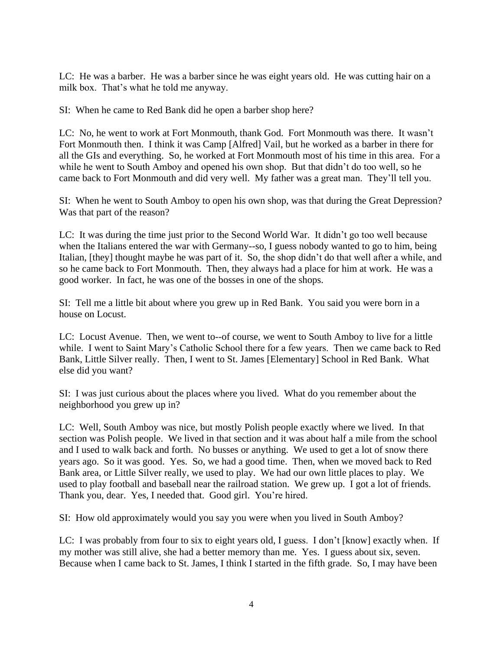LC: He was a barber. He was a barber since he was eight years old. He was cutting hair on a milk box. That's what he told me anyway.

SI: When he came to Red Bank did he open a barber shop here?

LC: No, he went to work at Fort Monmouth, thank God. Fort Monmouth was there. It wasn't Fort Monmouth then. I think it was Camp [Alfred] Vail, but he worked as a barber in there for all the GIs and everything. So, he worked at Fort Monmouth most of his time in this area. For a while he went to South Amboy and opened his own shop. But that didn't do too well, so he came back to Fort Monmouth and did very well. My father was a great man. They'll tell you.

SI: When he went to South Amboy to open his own shop, was that during the Great Depression? Was that part of the reason?

LC: It was during the time just prior to the Second World War. It didn't go too well because when the Italians entered the war with Germany--so, I guess nobody wanted to go to him, being Italian, [they] thought maybe he was part of it. So, the shop didn't do that well after a while, and so he came back to Fort Monmouth. Then, they always had a place for him at work. He was a good worker. In fact, he was one of the bosses in one of the shops.

SI: Tell me a little bit about where you grew up in Red Bank. You said you were born in a house on Locust.

LC: Locust Avenue. Then, we went to--of course, we went to South Amboy to live for a little while. I went to Saint Mary's Catholic School there for a few years. Then we came back to Red Bank, Little Silver really. Then, I went to St. James [Elementary] School in Red Bank. What else did you want?

SI: I was just curious about the places where you lived. What do you remember about the neighborhood you grew up in?

LC: Well, South Amboy was nice, but mostly Polish people exactly where we lived. In that section was Polish people. We lived in that section and it was about half a mile from the school and I used to walk back and forth. No busses or anything. We used to get a lot of snow there years ago. So it was good. Yes. So, we had a good time. Then, when we moved back to Red Bank area, or Little Silver really, we used to play. We had our own little places to play. We used to play football and baseball near the railroad station. We grew up. I got a lot of friends. Thank you, dear. Yes, I needed that. Good girl. You're hired.

SI: How old approximately would you say you were when you lived in South Amboy?

LC: I was probably from four to six to eight years old, I guess. I don't [know] exactly when. If my mother was still alive, she had a better memory than me. Yes. I guess about six, seven. Because when I came back to St. James, I think I started in the fifth grade. So, I may have been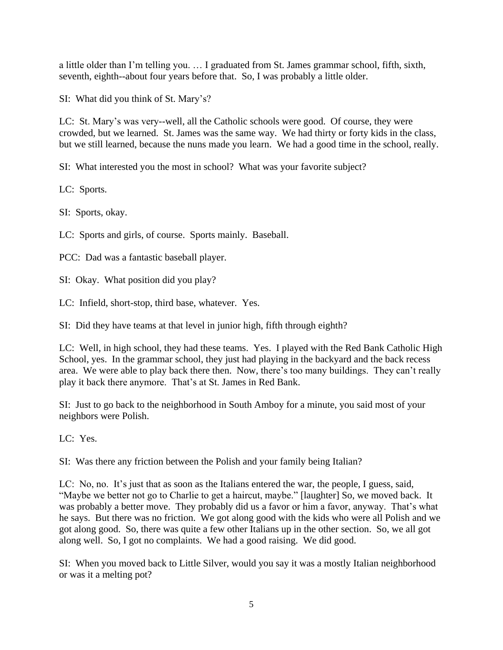a little older than I'm telling you. … I graduated from St. James grammar school, fifth, sixth, seventh, eighth--about four years before that. So, I was probably a little older.

SI: What did you think of St. Mary's?

LC: St. Mary's was very--well, all the Catholic schools were good. Of course, they were crowded, but we learned. St. James was the same way. We had thirty or forty kids in the class, but we still learned, because the nuns made you learn. We had a good time in the school, really.

SI: What interested you the most in school? What was your favorite subject?

LC: Sports.

SI: Sports, okay.

LC: Sports and girls, of course. Sports mainly. Baseball.

PCC: Dad was a fantastic baseball player.

SI: Okay. What position did you play?

LC: Infield, short-stop, third base, whatever. Yes.

SI: Did they have teams at that level in junior high, fifth through eighth?

LC: Well, in high school, they had these teams. Yes. I played with the Red Bank Catholic High School, yes. In the grammar school, they just had playing in the backyard and the back recess area. We were able to play back there then. Now, there's too many buildings. They can't really play it back there anymore. That's at St. James in Red Bank.

SI: Just to go back to the neighborhood in South Amboy for a minute, you said most of your neighbors were Polish.

LC: Yes.

SI: Was there any friction between the Polish and your family being Italian?

LC: No, no. It's just that as soon as the Italians entered the war, the people, I guess, said, "Maybe we better not go to Charlie to get a haircut, maybe." [laughter] So, we moved back. It was probably a better move. They probably did us a favor or him a favor, anyway. That's what he says. But there was no friction. We got along good with the kids who were all Polish and we got along good. So, there was quite a few other Italians up in the other section. So, we all got along well. So, I got no complaints. We had a good raising. We did good.

SI: When you moved back to Little Silver, would you say it was a mostly Italian neighborhood or was it a melting pot?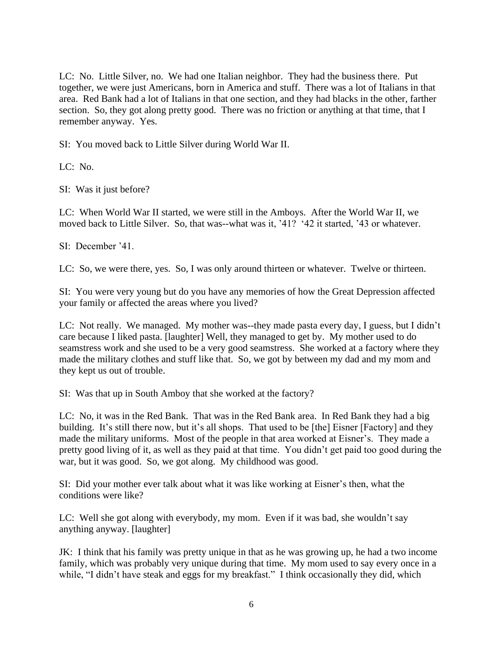LC: No. Little Silver, no. We had one Italian neighbor. They had the business there. Put together, we were just Americans, born in America and stuff. There was a lot of Italians in that area. Red Bank had a lot of Italians in that one section, and they had blacks in the other, farther section. So, they got along pretty good. There was no friction or anything at that time, that I remember anyway. Yes.

SI: You moved back to Little Silver during World War II.

LC: No.

SI: Was it just before?

LC: When World War II started, we were still in the Amboys. After the World War II, we moved back to Little Silver. So, that was--what was it, '41? '42 it started, '43 or whatever.

SI: December '41.

LC: So, we were there, yes. So, I was only around thirteen or whatever. Twelve or thirteen.

SI: You were very young but do you have any memories of how the Great Depression affected your family or affected the areas where you lived?

LC: Not really. We managed. My mother was--they made pasta every day, I guess, but I didn't care because I liked pasta. [laughter] Well, they managed to get by. My mother used to do seamstress work and she used to be a very good seamstress. She worked at a factory where they made the military clothes and stuff like that. So, we got by between my dad and my mom and they kept us out of trouble.

SI: Was that up in South Amboy that she worked at the factory?

LC: No, it was in the Red Bank. That was in the Red Bank area. In Red Bank they had a big building. It's still there now, but it's all shops. That used to be [the] Eisner [Factory] and they made the military uniforms. Most of the people in that area worked at Eisner's. They made a pretty good living of it, as well as they paid at that time. You didn't get paid too good during the war, but it was good. So, we got along. My childhood was good.

SI: Did your mother ever talk about what it was like working at Eisner's then, what the conditions were like?

LC: Well she got along with everybody, my mom. Even if it was bad, she wouldn't say anything anyway. [laughter]

JK: I think that his family was pretty unique in that as he was growing up, he had a two income family, which was probably very unique during that time. My mom used to say every once in a while, "I didn't have steak and eggs for my breakfast." I think occasionally they did, which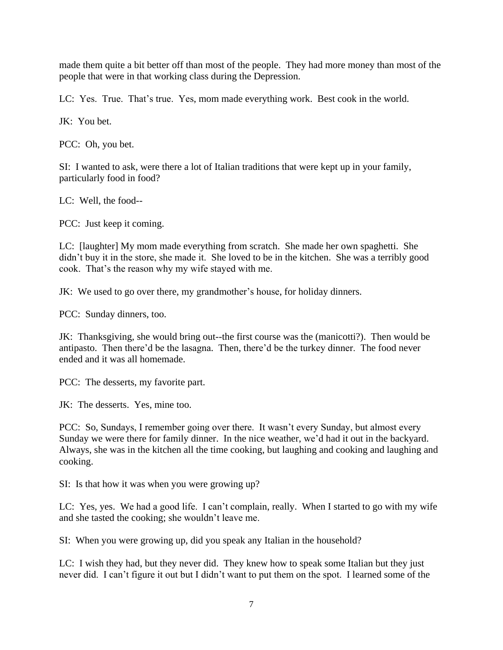made them quite a bit better off than most of the people. They had more money than most of the people that were in that working class during the Depression.

LC: Yes. True. That's true. Yes, mom made everything work. Best cook in the world.

JK: You bet.

PCC: Oh, you bet.

SI: I wanted to ask, were there a lot of Italian traditions that were kept up in your family, particularly food in food?

LC: Well, the food--

PCC: Just keep it coming.

LC: [laughter] My mom made everything from scratch. She made her own spaghetti. She didn't buy it in the store, she made it. She loved to be in the kitchen. She was a terribly good cook. That's the reason why my wife stayed with me.

JK: We used to go over there, my grandmother's house, for holiday dinners.

PCC: Sunday dinners, too.

JK: Thanksgiving, she would bring out--the first course was the (manicotti?). Then would be antipasto. Then there'd be the lasagna. Then, there'd be the turkey dinner. The food never ended and it was all homemade.

PCC: The desserts, my favorite part.

JK: The desserts. Yes, mine too.

PCC: So, Sundays, I remember going over there. It wasn't every Sunday, but almost every Sunday we were there for family dinner. In the nice weather, we'd had it out in the backyard. Always, she was in the kitchen all the time cooking, but laughing and cooking and laughing and cooking.

SI: Is that how it was when you were growing up?

LC: Yes, yes. We had a good life. I can't complain, really. When I started to go with my wife and she tasted the cooking; she wouldn't leave me.

SI: When you were growing up, did you speak any Italian in the household?

LC: I wish they had, but they never did. They knew how to speak some Italian but they just never did. I can't figure it out but I didn't want to put them on the spot. I learned some of the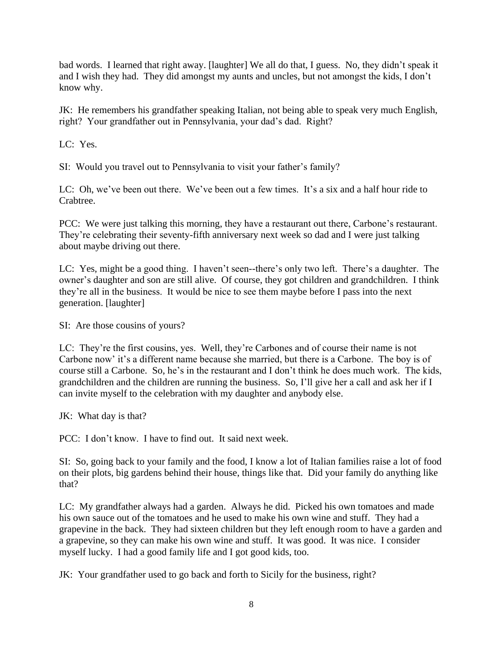bad words. I learned that right away. [laughter] We all do that, I guess. No, they didn't speak it and I wish they had. They did amongst my aunts and uncles, but not amongst the kids, I don't know why.

JK: He remembers his grandfather speaking Italian, not being able to speak very much English, right? Your grandfather out in Pennsylvania, your dad's dad. Right?

LC: Yes.

SI: Would you travel out to Pennsylvania to visit your father's family?

LC: Oh, we've been out there. We've been out a few times. It's a six and a half hour ride to Crabtree.

PCC: We were just talking this morning, they have a restaurant out there, Carbone's restaurant. They're celebrating their seventy-fifth anniversary next week so dad and I were just talking about maybe driving out there.

LC: Yes, might be a good thing. I haven't seen--there's only two left. There's a daughter. The owner's daughter and son are still alive. Of course, they got children and grandchildren. I think they're all in the business. It would be nice to see them maybe before I pass into the next generation. [laughter]

SI: Are those cousins of yours?

LC: They're the first cousins, yes. Well, they're Carbones and of course their name is not Carbone now' it's a different name because she married, but there is a Carbone. The boy is of course still a Carbone. So, he's in the restaurant and I don't think he does much work. The kids, grandchildren and the children are running the business. So, I'll give her a call and ask her if I can invite myself to the celebration with my daughter and anybody else.

JK: What day is that?

PCC: I don't know. I have to find out. It said next week.

SI: So, going back to your family and the food, I know a lot of Italian families raise a lot of food on their plots, big gardens behind their house, things like that. Did your family do anything like that?

LC: My grandfather always had a garden. Always he did. Picked his own tomatoes and made his own sauce out of the tomatoes and he used to make his own wine and stuff. They had a grapevine in the back. They had sixteen children but they left enough room to have a garden and a grapevine, so they can make his own wine and stuff. It was good. It was nice. I consider myself lucky. I had a good family life and I got good kids, too.

JK: Your grandfather used to go back and forth to Sicily for the business, right?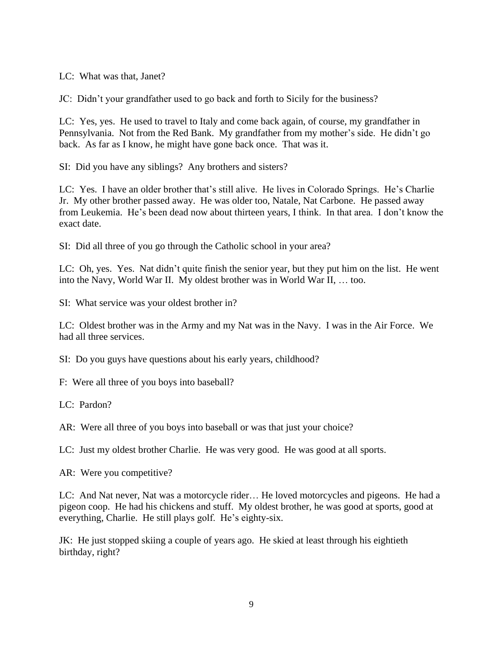LC: What was that, Janet?

JC: Didn't your grandfather used to go back and forth to Sicily for the business?

LC: Yes, yes. He used to travel to Italy and come back again, of course, my grandfather in Pennsylvania. Not from the Red Bank. My grandfather from my mother's side. He didn't go back. As far as I know, he might have gone back once. That was it.

SI: Did you have any siblings? Any brothers and sisters?

LC: Yes. I have an older brother that's still alive. He lives in Colorado Springs. He's Charlie Jr. My other brother passed away. He was older too, Natale, Nat Carbone. He passed away from Leukemia. He's been dead now about thirteen years, I think. In that area. I don't know the exact date.

SI: Did all three of you go through the Catholic school in your area?

LC: Oh, yes. Yes. Nat didn't quite finish the senior year, but they put him on the list. He went into the Navy, World War II. My oldest brother was in World War II, … too.

SI: What service was your oldest brother in?

LC: Oldest brother was in the Army and my Nat was in the Navy. I was in the Air Force. We had all three services.

SI: Do you guys have questions about his early years, childhood?

F: Were all three of you boys into baseball?

LC: Pardon?

AR: Were all three of you boys into baseball or was that just your choice?

LC: Just my oldest brother Charlie. He was very good. He was good at all sports.

AR: Were you competitive?

LC: And Nat never, Nat was a motorcycle rider… He loved motorcycles and pigeons. He had a pigeon coop. He had his chickens and stuff. My oldest brother, he was good at sports, good at everything, Charlie. He still plays golf. He's eighty-six.

JK: He just stopped skiing a couple of years ago. He skied at least through his eightieth birthday, right?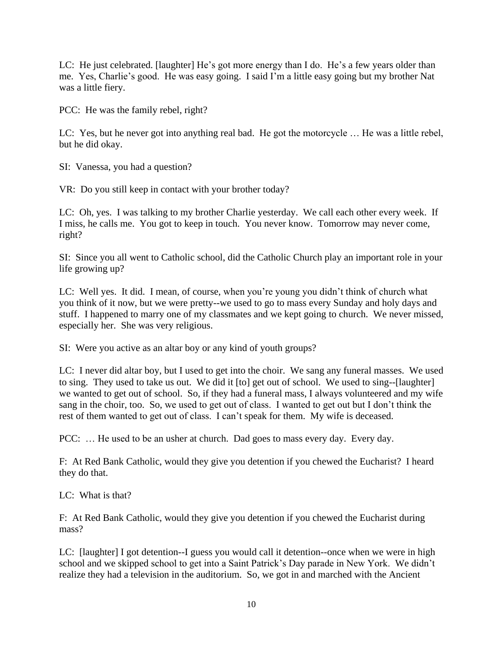LC: He just celebrated. [laughter] He's got more energy than I do. He's a few years older than me. Yes, Charlie's good. He was easy going. I said I'm a little easy going but my brother Nat was a little fiery.

PCC: He was the family rebel, right?

LC: Yes, but he never got into anything real bad. He got the motorcycle … He was a little rebel, but he did okay.

SI: Vanessa, you had a question?

VR: Do you still keep in contact with your brother today?

LC: Oh, yes. I was talking to my brother Charlie yesterday. We call each other every week. If I miss, he calls me. You got to keep in touch. You never know. Tomorrow may never come, right?

SI: Since you all went to Catholic school, did the Catholic Church play an important role in your life growing up?

LC: Well yes. It did. I mean, of course, when you're young you didn't think of church what you think of it now, but we were pretty--we used to go to mass every Sunday and holy days and stuff. I happened to marry one of my classmates and we kept going to church. We never missed, especially her. She was very religious.

SI: Were you active as an altar boy or any kind of youth groups?

LC: I never did altar boy, but I used to get into the choir. We sang any funeral masses. We used to sing. They used to take us out. We did it [to] get out of school. We used to sing--[laughter] we wanted to get out of school. So, if they had a funeral mass, I always volunteered and my wife sang in the choir, too. So, we used to get out of class. I wanted to get out but I don't think the rest of them wanted to get out of class. I can't speak for them. My wife is deceased.

PCC: ... He used to be an usher at church. Dad goes to mass every day. Every day.

F: At Red Bank Catholic, would they give you detention if you chewed the Eucharist? I heard they do that.

LC: What is that?

F: At Red Bank Catholic, would they give you detention if you chewed the Eucharist during mass?

LC: [laughter] I got detention--I guess you would call it detention--once when we were in high school and we skipped school to get into a Saint Patrick's Day parade in New York. We didn't realize they had a television in the auditorium. So, we got in and marched with the Ancient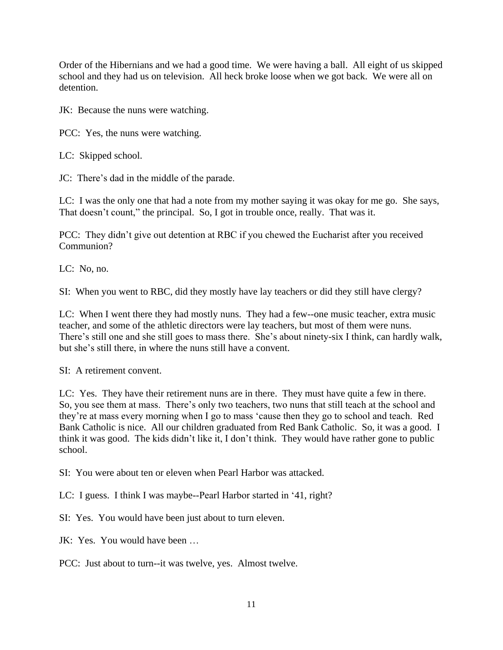Order of the Hibernians and we had a good time. We were having a ball. All eight of us skipped school and they had us on television. All heck broke loose when we got back. We were all on detention.

JK: Because the nuns were watching.

PCC: Yes, the nuns were watching.

LC: Skipped school.

JC: There's dad in the middle of the parade.

LC: I was the only one that had a note from my mother saying it was okay for me go. She says, That doesn't count," the principal. So, I got in trouble once, really. That was it.

PCC: They didn't give out detention at RBC if you chewed the Eucharist after you received Communion?

LC: No, no.

SI: When you went to RBC, did they mostly have lay teachers or did they still have clergy?

LC: When I went there they had mostly nuns. They had a few--one music teacher, extra music teacher, and some of the athletic directors were lay teachers, but most of them were nuns. There's still one and she still goes to mass there. She's about ninety-six I think, can hardly walk, but she's still there, in where the nuns still have a convent.

SI: A retirement convent.

LC: Yes. They have their retirement nuns are in there. They must have quite a few in there. So, you see them at mass. There's only two teachers, two nuns that still teach at the school and they're at mass every morning when I go to mass 'cause then they go to school and teach. Red Bank Catholic is nice. All our children graduated from Red Bank Catholic. So, it was a good. I think it was good. The kids didn't like it, I don't think. They would have rather gone to public school.

SI: You were about ten or eleven when Pearl Harbor was attacked.

LC: I guess. I think I was maybe--Pearl Harbor started in '41, right?

SI: Yes. You would have been just about to turn eleven.

JK: Yes. You would have been …

PCC: Just about to turn--it was twelve, yes. Almost twelve.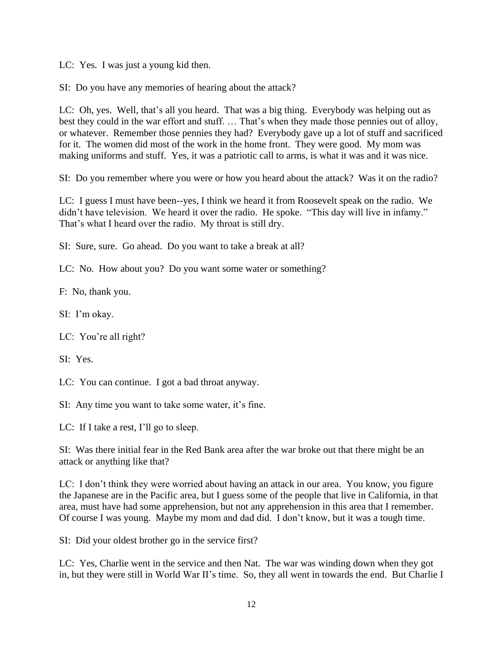LC: Yes. I was just a young kid then.

SI: Do you have any memories of hearing about the attack?

LC: Oh, yes. Well, that's all you heard. That was a big thing. Everybody was helping out as best they could in the war effort and stuff. … That's when they made those pennies out of alloy, or whatever. Remember those pennies they had? Everybody gave up a lot of stuff and sacrificed for it. The women did most of the work in the home front. They were good. My mom was making uniforms and stuff. Yes, it was a patriotic call to arms, is what it was and it was nice.

SI: Do you remember where you were or how you heard about the attack? Was it on the radio?

LC: I guess I must have been--yes, I think we heard it from Roosevelt speak on the radio. We didn't have television. We heard it over the radio. He spoke. "This day will live in infamy." That's what I heard over the radio. My throat is still dry.

SI: Sure, sure. Go ahead. Do you want to take a break at all?

LC: No. How about you? Do you want some water or something?

F: No, thank you.

SI: I'm okay.

LC: You're all right?

SI: Yes.

LC: You can continue. I got a bad throat anyway.

SI: Any time you want to take some water, it's fine.

LC: If I take a rest, I'll go to sleep.

SI: Was there initial fear in the Red Bank area after the war broke out that there might be an attack or anything like that?

LC: I don't think they were worried about having an attack in our area. You know, you figure the Japanese are in the Pacific area, but I guess some of the people that live in California, in that area, must have had some apprehension, but not any apprehension in this area that I remember. Of course I was young. Maybe my mom and dad did. I don't know, but it was a tough time.

SI: Did your oldest brother go in the service first?

LC: Yes, Charlie went in the service and then Nat. The war was winding down when they got in, but they were still in World War II's time. So, they all went in towards the end. But Charlie I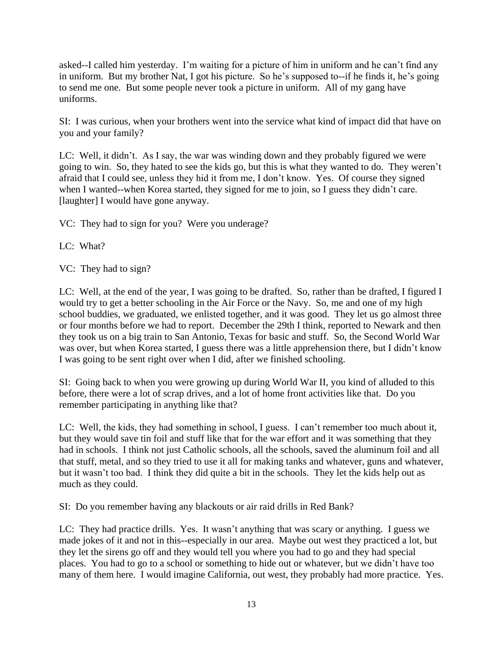asked--I called him yesterday. I'm waiting for a picture of him in uniform and he can't find any in uniform. But my brother Nat, I got his picture. So he's supposed to--if he finds it, he's going to send me one. But some people never took a picture in uniform. All of my gang have uniforms.

SI: I was curious, when your brothers went into the service what kind of impact did that have on you and your family?

LC: Well, it didn't. As I say, the war was winding down and they probably figured we were going to win. So, they hated to see the kids go, but this is what they wanted to do. They weren't afraid that I could see, unless they hid it from me, I don't know. Yes. Of course they signed when I wanted--when Korea started, they signed for me to join, so I guess they didn't care. [laughter] I would have gone anyway.

VC: They had to sign for you? Were you underage?

LC: What?

VC: They had to sign?

LC: Well, at the end of the year, I was going to be drafted. So, rather than be drafted, I figured I would try to get a better schooling in the Air Force or the Navy. So, me and one of my high school buddies, we graduated, we enlisted together, and it was good. They let us go almost three or four months before we had to report. December the 29th I think, reported to Newark and then they took us on a big train to San Antonio, Texas for basic and stuff. So, the Second World War was over, but when Korea started, I guess there was a little apprehension there, but I didn't know I was going to be sent right over when I did, after we finished schooling.

SI: Going back to when you were growing up during World War II, you kind of alluded to this before, there were a lot of scrap drives, and a lot of home front activities like that. Do you remember participating in anything like that?

LC: Well, the kids, they had something in school, I guess. I can't remember too much about it, but they would save tin foil and stuff like that for the war effort and it was something that they had in schools. I think not just Catholic schools, all the schools, saved the aluminum foil and all that stuff, metal, and so they tried to use it all for making tanks and whatever, guns and whatever, but it wasn't too bad. I think they did quite a bit in the schools. They let the kids help out as much as they could.

SI: Do you remember having any blackouts or air raid drills in Red Bank?

LC: They had practice drills. Yes. It wasn't anything that was scary or anything. I guess we made jokes of it and not in this--especially in our area. Maybe out west they practiced a lot, but they let the sirens go off and they would tell you where you had to go and they had special places. You had to go to a school or something to hide out or whatever, but we didn't have too many of them here. I would imagine California, out west, they probably had more practice. Yes.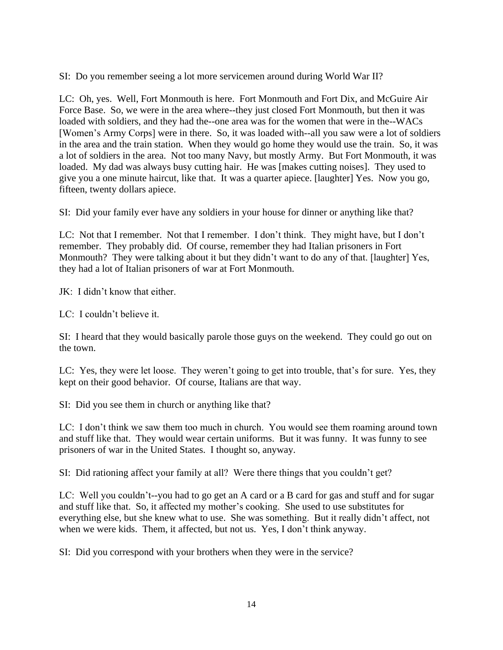SI: Do you remember seeing a lot more servicemen around during World War II?

LC: Oh, yes. Well, Fort Monmouth is here. Fort Monmouth and Fort Dix, and McGuire Air Force Base. So, we were in the area where--they just closed Fort Monmouth, but then it was loaded with soldiers, and they had the--one area was for the women that were in the--WACs [Women's Army Corps] were in there. So, it was loaded with--all you saw were a lot of soldiers in the area and the train station. When they would go home they would use the train. So, it was a lot of soldiers in the area. Not too many Navy, but mostly Army. But Fort Monmouth, it was loaded. My dad was always busy cutting hair. He was [makes cutting noises]. They used to give you a one minute haircut, like that. It was a quarter apiece. [laughter] Yes. Now you go, fifteen, twenty dollars apiece.

SI: Did your family ever have any soldiers in your house for dinner or anything like that?

LC: Not that I remember. Not that I remember. I don't think. They might have, but I don't remember. They probably did. Of course, remember they had Italian prisoners in Fort Monmouth? They were talking about it but they didn't want to do any of that. [laughter] Yes, they had a lot of Italian prisoners of war at Fort Monmouth.

JK: I didn't know that either.

LC: I couldn't believe it.

SI: I heard that they would basically parole those guys on the weekend. They could go out on the town.

LC: Yes, they were let loose. They weren't going to get into trouble, that's for sure. Yes, they kept on their good behavior. Of course, Italians are that way.

SI: Did you see them in church or anything like that?

LC: I don't think we saw them too much in church. You would see them roaming around town and stuff like that. They would wear certain uniforms. But it was funny. It was funny to see prisoners of war in the United States. I thought so, anyway.

SI: Did rationing affect your family at all? Were there things that you couldn't get?

LC: Well you couldn't--you had to go get an A card or a B card for gas and stuff and for sugar and stuff like that. So, it affected my mother's cooking. She used to use substitutes for everything else, but she knew what to use. She was something. But it really didn't affect, not when we were kids. Them, it affected, but not us. Yes, I don't think anyway.

SI: Did you correspond with your brothers when they were in the service?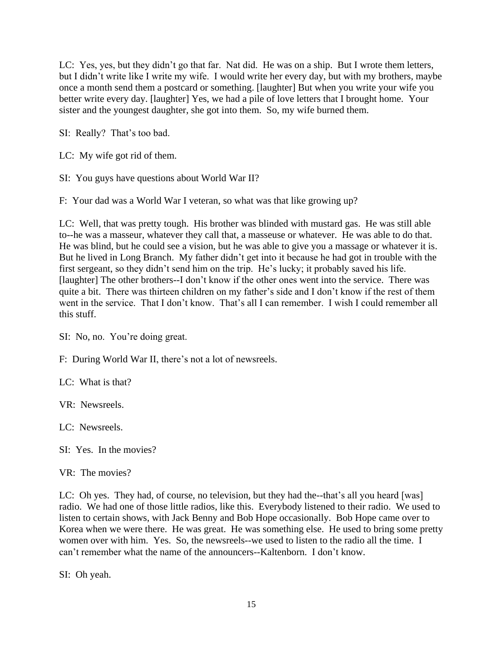LC: Yes, yes, but they didn't go that far. Nat did. He was on a ship. But I wrote them letters, but I didn't write like I write my wife. I would write her every day, but with my brothers, maybe once a month send them a postcard or something. [laughter] But when you write your wife you better write every day. [laughter] Yes, we had a pile of love letters that I brought home. Your sister and the youngest daughter, she got into them. So, my wife burned them.

SI: Really? That's too bad.

LC: My wife got rid of them.

SI: You guys have questions about World War II?

F: Your dad was a World War I veteran, so what was that like growing up?

LC: Well, that was pretty tough. His brother was blinded with mustard gas. He was still able to--he was a masseur, whatever they call that, a masseuse or whatever. He was able to do that. He was blind, but he could see a vision, but he was able to give you a massage or whatever it is. But he lived in Long Branch. My father didn't get into it because he had got in trouble with the first sergeant, so they didn't send him on the trip. He's lucky; it probably saved his life. [laughter] The other brothers--I don't know if the other ones went into the service. There was quite a bit. There was thirteen children on my father's side and I don't know if the rest of them went in the service. That I don't know. That's all I can remember. I wish I could remember all this stuff.

SI: No, no. You're doing great.

F: During World War II, there's not a lot of newsreels.

LC: What is that?

VR: Newsreels.

LC: Newsreels.

SI: Yes. In the movies?

VR: The movies?

LC: Oh yes. They had, of course, no television, but they had the--that's all you heard [was] radio. We had one of those little radios, like this. Everybody listened to their radio. We used to listen to certain shows, with Jack Benny and Bob Hope occasionally. Bob Hope came over to Korea when we were there. He was great. He was something else. He used to bring some pretty women over with him. Yes. So, the newsreels--we used to listen to the radio all the time. I can't remember what the name of the announcers--Kaltenborn. I don't know.

SI: Oh yeah.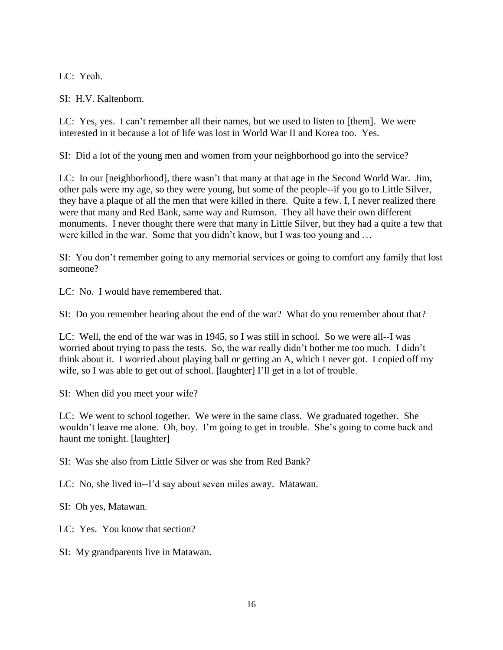LC: Yeah.

SI: H.V. Kaltenborn.

LC: Yes, yes. I can't remember all their names, but we used to listen to [them]. We were interested in it because a lot of life was lost in World War II and Korea too. Yes.

SI: Did a lot of the young men and women from your neighborhood go into the service?

LC: In our [neighborhood], there wasn't that many at that age in the Second World War. Jim, other pals were my age, so they were young, but some of the people--if you go to Little Silver, they have a plaque of all the men that were killed in there. Quite a few. I, I never realized there were that many and Red Bank, same way and Rumson. They all have their own different monuments. I never thought there were that many in Little Silver, but they had a quite a few that were killed in the war. Some that you didn't know, but I was too young and …

SI: You don't remember going to any memorial services or going to comfort any family that lost someone?

LC: No. I would have remembered that.

SI: Do you remember hearing about the end of the war? What do you remember about that?

LC: Well, the end of the war was in 1945, so I was still in school. So we were all--I was worried about trying to pass the tests. So, the war really didn't bother me too much. I didn't think about it. I worried about playing ball or getting an A, which I never got. I copied off my wife, so I was able to get out of school. [laughter] I'll get in a lot of trouble.

SI: When did you meet your wife?

LC: We went to school together. We were in the same class. We graduated together. She wouldn't leave me alone. Oh, boy. I'm going to get in trouble. She's going to come back and haunt me tonight. [laughter]

SI: Was she also from Little Silver or was she from Red Bank?

LC: No, she lived in--I'd say about seven miles away. Matawan.

SI: Oh yes, Matawan.

LC: Yes. You know that section?

SI: My grandparents live in Matawan.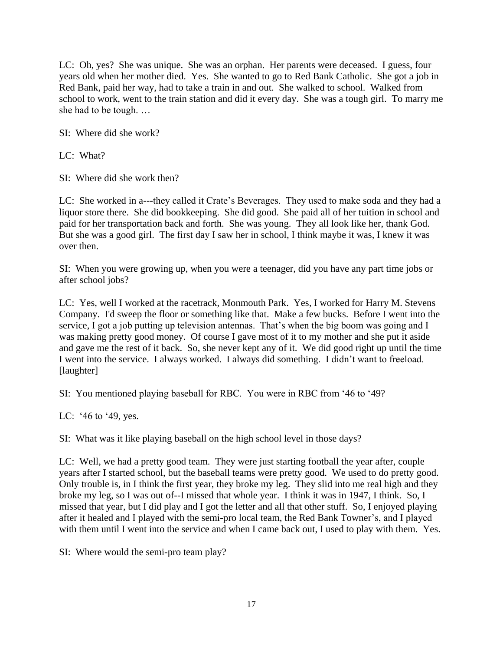LC: Oh, yes? She was unique. She was an orphan. Her parents were deceased. I guess, four years old when her mother died. Yes. She wanted to go to Red Bank Catholic. She got a job in Red Bank, paid her way, had to take a train in and out. She walked to school. Walked from school to work, went to the train station and did it every day. She was a tough girl. To marry me she had to be tough. …

SI: Where did she work?

LC: What?

SI: Where did she work then?

LC: She worked in a---they called it Crate's Beverages. They used to make soda and they had a liquor store there. She did bookkeeping. She did good. She paid all of her tuition in school and paid for her transportation back and forth. She was young. They all look like her, thank God. But she was a good girl. The first day I saw her in school, I think maybe it was, I knew it was over then.

SI: When you were growing up, when you were a teenager, did you have any part time jobs or after school jobs?

LC: Yes, well I worked at the racetrack, Monmouth Park. Yes, I worked for Harry M. Stevens Company. I'd sweep the floor or something like that. Make a few bucks. Before I went into the service, I got a job putting up television antennas. That's when the big boom was going and I was making pretty good money. Of course I gave most of it to my mother and she put it aside and gave me the rest of it back. So, she never kept any of it. We did good right up until the time I went into the service. I always worked. I always did something. I didn't want to freeload. [laughter]

SI: You mentioned playing baseball for RBC. You were in RBC from '46 to '49?

LC: '46 to '49, yes.

SI: What was it like playing baseball on the high school level in those days?

LC: Well, we had a pretty good team. They were just starting football the year after, couple years after I started school, but the baseball teams were pretty good. We used to do pretty good. Only trouble is, in I think the first year, they broke my leg. They slid into me real high and they broke my leg, so I was out of--I missed that whole year. I think it was in 1947, I think. So, I missed that year, but I did play and I got the letter and all that other stuff. So, I enjoyed playing after it healed and I played with the semi-pro local team, the Red Bank Towner's, and I played with them until I went into the service and when I came back out, I used to play with them. Yes.

SI: Where would the semi-pro team play?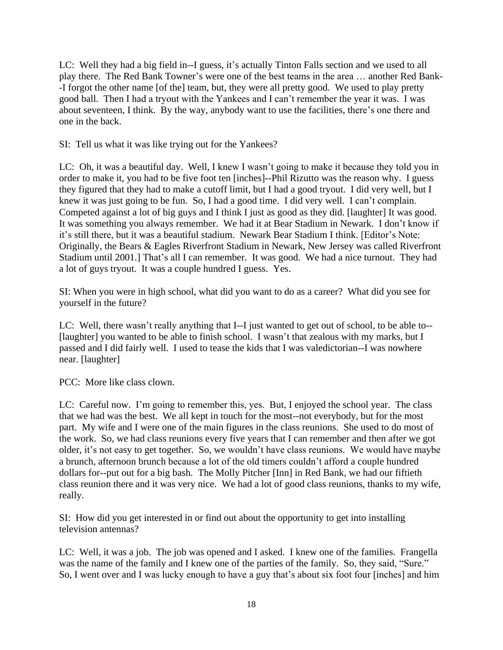LC: Well they had a big field in--I guess, it's actually Tinton Falls section and we used to all play there. The Red Bank Towner's were one of the best teams in the area … another Red Bank- -I forgot the other name [of the] team, but, they were all pretty good. We used to play pretty good ball. Then I had a tryout with the Yankees and I can't remember the year it was. I was about seventeen, I think. By the way, anybody want to use the facilities, there's one there and one in the back.

SI: Tell us what it was like trying out for the Yankees?

LC: Oh, it was a beautiful day. Well, I knew I wasn't going to make it because they told you in order to make it, you had to be five foot ten [inches]--Phil Rizutto was the reason why. I guess they figured that they had to make a cutoff limit, but I had a good tryout. I did very well, but I knew it was just going to be fun. So, I had a good time. I did very well. I can't complain. Competed against a lot of big guys and I think I just as good as they did. [laughter] It was good. It was something you always remember. We had it at Bear Stadium in Newark. I don't know if it's still there, but it was a beautiful stadium. Newark Bear Stadium I think. [Editor's Note: Originally, the Bears & Eagles Riverfront Stadium in Newark, New Jersey was called Riverfront Stadium until 2001.] That's all I can remember. It was good. We had a nice turnout. They had a lot of guys tryout. It was a couple hundred I guess. Yes.

SI: When you were in high school, what did you want to do as a career? What did you see for yourself in the future?

LC: Well, there wasn't really anything that I--I just wanted to get out of school, to be able to-- [laughter] you wanted to be able to finish school. I wasn't that zealous with my marks, but I passed and I did fairly well. I used to tease the kids that I was valedictorian--I was nowhere near. [laughter]

PCC: More like class clown.

LC: Careful now. I'm going to remember this, yes. But, I enjoyed the school year. The class that we had was the best. We all kept in touch for the most--not everybody, but for the most part. My wife and I were one of the main figures in the class reunions. She used to do most of the work. So, we had class reunions every five years that I can remember and then after we got older, it's not easy to get together. So, we wouldn't have class reunions. We would have maybe a brunch, afternoon brunch because a lot of the old timers couldn't afford a couple hundred dollars for--put out for a big bash. The Molly Pitcher [Inn] in Red Bank, we had our fiftieth class reunion there and it was very nice. We had a lot of good class reunions, thanks to my wife, really.

SI: How did you get interested in or find out about the opportunity to get into installing television antennas?

LC: Well, it was a job. The job was opened and I asked. I knew one of the families. Frangella was the name of the family and I knew one of the parties of the family. So, they said, "Sure." So, I went over and I was lucky enough to have a guy that's about six foot four [inches] and him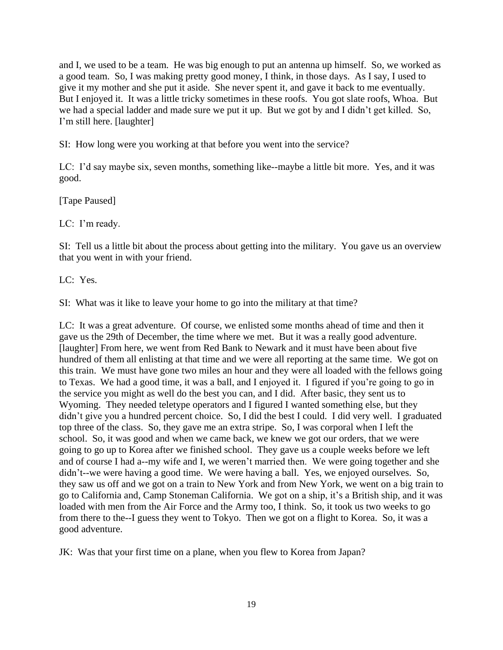and I, we used to be a team. He was big enough to put an antenna up himself. So, we worked as a good team. So, I was making pretty good money, I think, in those days. As I say, I used to give it my mother and she put it aside. She never spent it, and gave it back to me eventually. But I enjoyed it. It was a little tricky sometimes in these roofs. You got slate roofs, Whoa. But we had a special ladder and made sure we put it up. But we got by and I didn't get killed. So, I'm still here. [laughter]

SI: How long were you working at that before you went into the service?

LC: I'd say maybe six, seven months, something like--maybe a little bit more. Yes, and it was good.

[Tape Paused]

LC: I'm ready.

SI: Tell us a little bit about the process about getting into the military. You gave us an overview that you went in with your friend.

LC: Yes.

SI: What was it like to leave your home to go into the military at that time?

LC: It was a great adventure. Of course, we enlisted some months ahead of time and then it gave us the 29th of December, the time where we met. But it was a really good adventure. [laughter] From here, we went from Red Bank to Newark and it must have been about five hundred of them all enlisting at that time and we were all reporting at the same time. We got on this train. We must have gone two miles an hour and they were all loaded with the fellows going to Texas. We had a good time, it was a ball, and I enjoyed it. I figured if you're going to go in the service you might as well do the best you can, and I did. After basic, they sent us to Wyoming. They needed teletype operators and I figured I wanted something else, but they didn't give you a hundred percent choice. So, I did the best I could. I did very well. I graduated top three of the class. So, they gave me an extra stripe. So, I was corporal when I left the school. So, it was good and when we came back, we knew we got our orders, that we were going to go up to Korea after we finished school. They gave us a couple weeks before we left and of course I had a--my wife and I, we weren't married then. We were going together and she didn't--we were having a good time. We were having a ball. Yes, we enjoyed ourselves. So, they saw us off and we got on a train to New York and from New York, we went on a big train to go to California and, Camp Stoneman California. We got on a ship, it's a British ship, and it was loaded with men from the Air Force and the Army too, I think. So, it took us two weeks to go from there to the--I guess they went to Tokyo. Then we got on a flight to Korea. So, it was a good adventure.

JK: Was that your first time on a plane, when you flew to Korea from Japan?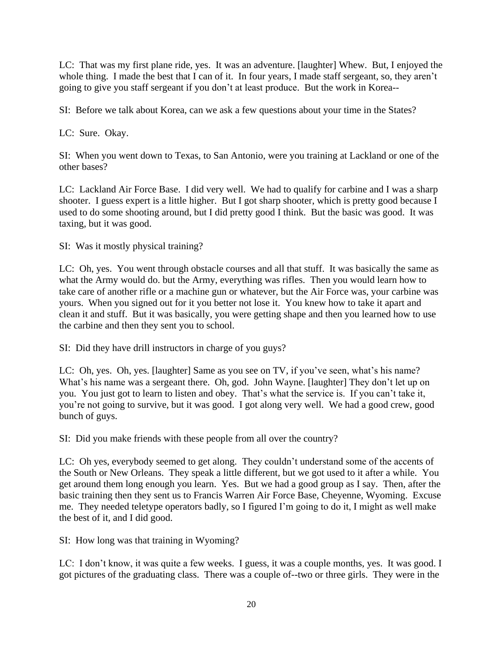LC: That was my first plane ride, yes. It was an adventure. [laughter] Whew. But, I enjoyed the whole thing. I made the best that I can of it. In four years, I made staff sergeant, so, they aren't going to give you staff sergeant if you don't at least produce. But the work in Korea--

SI: Before we talk about Korea, can we ask a few questions about your time in the States?

LC: Sure. Okay.

SI: When you went down to Texas, to San Antonio, were you training at Lackland or one of the other bases?

LC: Lackland Air Force Base. I did very well. We had to qualify for carbine and I was a sharp shooter. I guess expert is a little higher. But I got sharp shooter, which is pretty good because I used to do some shooting around, but I did pretty good I think. But the basic was good. It was taxing, but it was good.

SI: Was it mostly physical training?

LC: Oh, yes. You went through obstacle courses and all that stuff. It was basically the same as what the Army would do. but the Army, everything was rifles. Then you would learn how to take care of another rifle or a machine gun or whatever, but the Air Force was, your carbine was yours. When you signed out for it you better not lose it. You knew how to take it apart and clean it and stuff. But it was basically, you were getting shape and then you learned how to use the carbine and then they sent you to school.

SI: Did they have drill instructors in charge of you guys?

LC: Oh, yes. Oh, yes. [laughter] Same as you see on TV, if you've seen, what's his name? What's his name was a sergeant there. Oh, god. John Wayne. [laughter] They don't let up on you. You just got to learn to listen and obey. That's what the service is. If you can't take it, you're not going to survive, but it was good. I got along very well. We had a good crew, good bunch of guys.

SI: Did you make friends with these people from all over the country?

LC: Oh yes, everybody seemed to get along. They couldn't understand some of the accents of the South or New Orleans. They speak a little different, but we got used to it after a while. You get around them long enough you learn. Yes. But we had a good group as I say. Then, after the basic training then they sent us to Francis Warren Air Force Base, Cheyenne, Wyoming. Excuse me. They needed teletype operators badly, so I figured I'm going to do it, I might as well make the best of it, and I did good.

SI: How long was that training in Wyoming?

LC: I don't know, it was quite a few weeks. I guess, it was a couple months, yes. It was good. I got pictures of the graduating class. There was a couple of--two or three girls. They were in the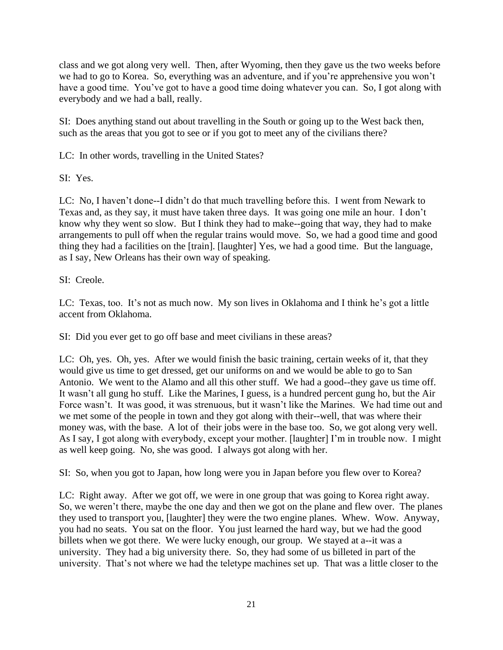class and we got along very well. Then, after Wyoming, then they gave us the two weeks before we had to go to Korea. So, everything was an adventure, and if you're apprehensive you won't have a good time. You've got to have a good time doing whatever you can. So, I got along with everybody and we had a ball, really.

SI: Does anything stand out about travelling in the South or going up to the West back then, such as the areas that you got to see or if you got to meet any of the civilians there?

LC: In other words, travelling in the United States?

SI: Yes.

LC: No, I haven't done--I didn't do that much travelling before this. I went from Newark to Texas and, as they say, it must have taken three days. It was going one mile an hour. I don't know why they went so slow. But I think they had to make--going that way, they had to make arrangements to pull off when the regular trains would move. So, we had a good time and good thing they had a facilities on the [train]. [laughter] Yes, we had a good time. But the language, as I say, New Orleans has their own way of speaking.

# SI: Creole.

LC: Texas, too. It's not as much now. My son lives in Oklahoma and I think he's got a little accent from Oklahoma.

SI: Did you ever get to go off base and meet civilians in these areas?

LC: Oh, yes. Oh, yes. After we would finish the basic training, certain weeks of it, that they would give us time to get dressed, get our uniforms on and we would be able to go to San Antonio. We went to the Alamo and all this other stuff. We had a good--they gave us time off. It wasn't all gung ho stuff. Like the Marines, I guess, is a hundred percent gung ho, but the Air Force wasn't. It was good, it was strenuous, but it wasn't like the Marines. We had time out and we met some of the people in town and they got along with their--well, that was where their money was, with the base. A lot of their jobs were in the base too. So, we got along very well. As I say, I got along with everybody, except your mother. [laughter] I'm in trouble now. I might as well keep going. No, she was good. I always got along with her.

SI: So, when you got to Japan, how long were you in Japan before you flew over to Korea?

LC: Right away. After we got off, we were in one group that was going to Korea right away. So, we weren't there, maybe the one day and then we got on the plane and flew over. The planes they used to transport you, [laughter] they were the two engine planes. Whew. Wow. Anyway, you had no seats. You sat on the floor. You just learned the hard way, but we had the good billets when we got there. We were lucky enough, our group. We stayed at a--it was a university. They had a big university there. So, they had some of us billeted in part of the university. That's not where we had the teletype machines set up. That was a little closer to the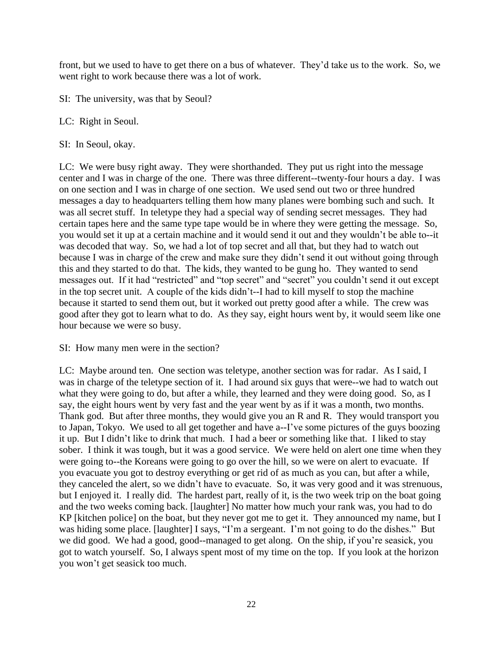front, but we used to have to get there on a bus of whatever. They'd take us to the work. So, we went right to work because there was a lot of work.

SI: The university, was that by Seoul?

LC: Right in Seoul.

SI: In Seoul, okay.

LC: We were busy right away. They were shorthanded. They put us right into the message center and I was in charge of the one. There was three different--twenty-four hours a day. I was on one section and I was in charge of one section. We used send out two or three hundred messages a day to headquarters telling them how many planes were bombing such and such. It was all secret stuff. In teletype they had a special way of sending secret messages. They had certain tapes here and the same type tape would be in where they were getting the message. So, you would set it up at a certain machine and it would send it out and they wouldn't be able to--it was decoded that way. So, we had a lot of top secret and all that, but they had to watch out because I was in charge of the crew and make sure they didn't send it out without going through this and they started to do that. The kids, they wanted to be gung ho. They wanted to send messages out. If it had "restricted" and "top secret" and "secret" you couldn't send it out except in the top secret unit. A couple of the kids didn't--I had to kill myself to stop the machine because it started to send them out, but it worked out pretty good after a while. The crew was good after they got to learn what to do. As they say, eight hours went by, it would seem like one hour because we were so busy.

SI: How many men were in the section?

LC: Maybe around ten. One section was teletype, another section was for radar. As I said, I was in charge of the teletype section of it. I had around six guys that were--we had to watch out what they were going to do, but after a while, they learned and they were doing good. So, as I say, the eight hours went by very fast and the year went by as if it was a month, two months. Thank god. But after three months, they would give you an R and R. They would transport you to Japan, Tokyo. We used to all get together and have a--I've some pictures of the guys boozing it up. But I didn't like to drink that much. I had a beer or something like that. I liked to stay sober. I think it was tough, but it was a good service. We were held on alert one time when they were going to--the Koreans were going to go over the hill, so we were on alert to evacuate. If you evacuate you got to destroy everything or get rid of as much as you can, but after a while, they canceled the alert, so we didn't have to evacuate. So, it was very good and it was strenuous, but I enjoyed it. I really did. The hardest part, really of it, is the two week trip on the boat going and the two weeks coming back. [laughter] No matter how much your rank was, you had to do KP [kitchen police] on the boat, but they never got me to get it. They announced my name, but I was hiding some place. [laughter] I says, "I'm a sergeant. I'm not going to do the dishes." But we did good. We had a good, good--managed to get along. On the ship, if you're seasick, you got to watch yourself. So, I always spent most of my time on the top. If you look at the horizon you won't get seasick too much.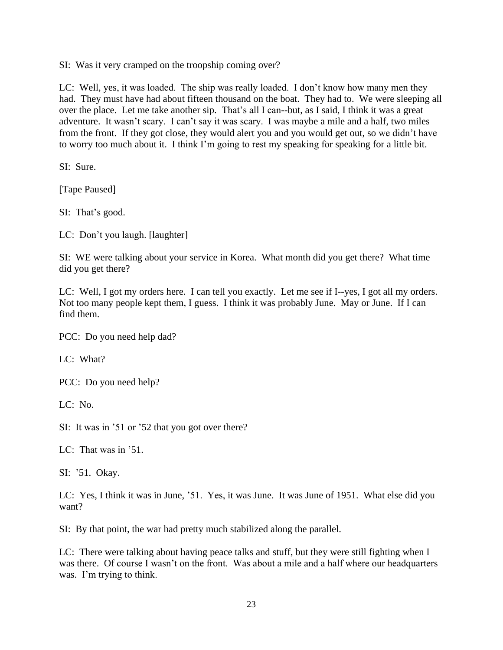SI: Was it very cramped on the troopship coming over?

LC: Well, yes, it was loaded. The ship was really loaded. I don't know how many men they had. They must have had about fifteen thousand on the boat. They had to. We were sleeping all over the place. Let me take another sip. That's all I can--but, as I said, I think it was a great adventure. It wasn't scary. I can't say it was scary. I was maybe a mile and a half, two miles from the front. If they got close, they would alert you and you would get out, so we didn't have to worry too much about it. I think I'm going to rest my speaking for speaking for a little bit.

SI: Sure.

[Tape Paused]

SI: That's good.

LC: Don't you laugh. [laughter]

SI: WE were talking about your service in Korea. What month did you get there? What time did you get there?

LC: Well, I got my orders here. I can tell you exactly. Let me see if I--yes, I got all my orders. Not too many people kept them, I guess. I think it was probably June. May or June. If I can find them.

PCC: Do you need help dad?

LC: What?

PCC: Do you need help?

LC: No.

SI: It was in '51 or '52 that you got over there?

LC: That was in '51.

SI: '51. Okay.

LC: Yes, I think it was in June, '51. Yes, it was June. It was June of 1951. What else did you want?

SI: By that point, the war had pretty much stabilized along the parallel.

LC: There were talking about having peace talks and stuff, but they were still fighting when I was there. Of course I wasn't on the front. Was about a mile and a half where our headquarters was. I'm trying to think.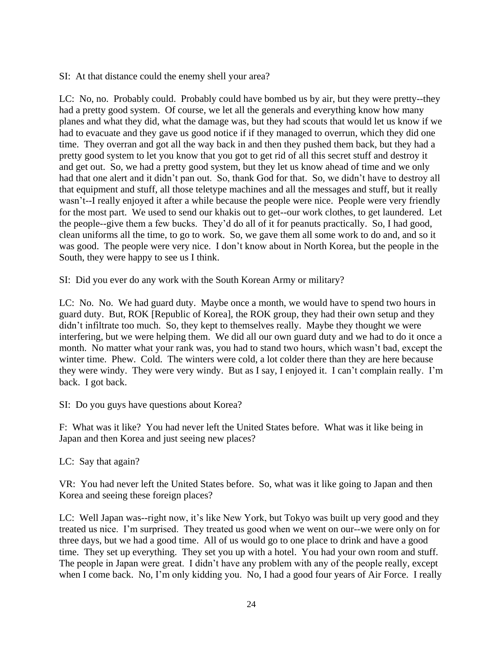SI: At that distance could the enemy shell your area?

LC: No, no. Probably could. Probably could have bombed us by air, but they were pretty--they had a pretty good system. Of course, we let all the generals and everything know how many planes and what they did, what the damage was, but they had scouts that would let us know if we had to evacuate and they gave us good notice if if they managed to overrun, which they did one time. They overran and got all the way back in and then they pushed them back, but they had a pretty good system to let you know that you got to get rid of all this secret stuff and destroy it and get out. So, we had a pretty good system, but they let us know ahead of time and we only had that one alert and it didn't pan out. So, thank God for that. So, we didn't have to destroy all that equipment and stuff, all those teletype machines and all the messages and stuff, but it really wasn't--I really enjoyed it after a while because the people were nice. People were very friendly for the most part. We used to send our khakis out to get--our work clothes, to get laundered. Let the people--give them a few bucks. They'd do all of it for peanuts practically. So, I had good, clean uniforms all the time, to go to work. So, we gave them all some work to do and, and so it was good. The people were very nice. I don't know about in North Korea, but the people in the South, they were happy to see us I think.

SI: Did you ever do any work with the South Korean Army or military?

LC: No. No. We had guard duty. Maybe once a month, we would have to spend two hours in guard duty. But, ROK [Republic of Korea], the ROK group, they had their own setup and they didn't infiltrate too much. So, they kept to themselves really. Maybe they thought we were interfering, but we were helping them. We did all our own guard duty and we had to do it once a month. No matter what your rank was, you had to stand two hours, which wasn't bad, except the winter time. Phew. Cold. The winters were cold, a lot colder there than they are here because they were windy. They were very windy. But as I say, I enjoyed it. I can't complain really. I'm back. I got back.

SI: Do you guys have questions about Korea?

F: What was it like? You had never left the United States before. What was it like being in Japan and then Korea and just seeing new places?

LC: Say that again?

VR: You had never left the United States before. So, what was it like going to Japan and then Korea and seeing these foreign places?

LC: Well Japan was--right now, it's like New York, but Tokyo was built up very good and they treated us nice. I'm surprised. They treated us good when we went on our--we were only on for three days, but we had a good time. All of us would go to one place to drink and have a good time. They set up everything. They set you up with a hotel. You had your own room and stuff. The people in Japan were great. I didn't have any problem with any of the people really, except when I come back. No, I'm only kidding you. No, I had a good four years of Air Force. I really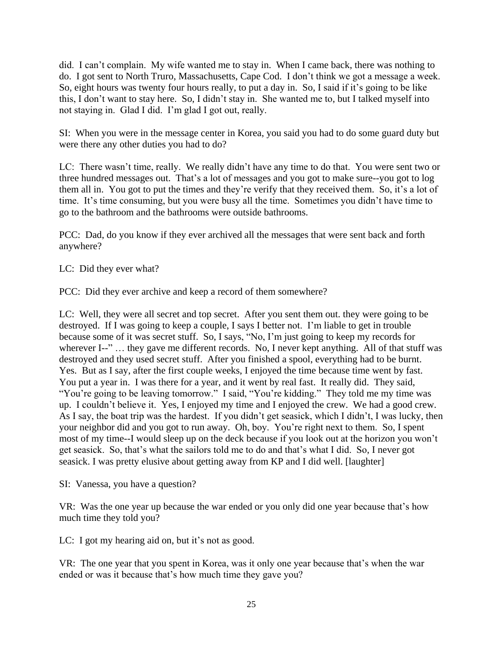did. I can't complain. My wife wanted me to stay in. When I came back, there was nothing to do. I got sent to North Truro, Massachusetts, Cape Cod. I don't think we got a message a week. So, eight hours was twenty four hours really, to put a day in. So, I said if it's going to be like this, I don't want to stay here. So, I didn't stay in. She wanted me to, but I talked myself into not staying in. Glad I did. I'm glad I got out, really.

SI: When you were in the message center in Korea, you said you had to do some guard duty but were there any other duties you had to do?

LC: There wasn't time, really. We really didn't have any time to do that. You were sent two or three hundred messages out. That's a lot of messages and you got to make sure--you got to log them all in. You got to put the times and they're verify that they received them. So, it's a lot of time. It's time consuming, but you were busy all the time. Sometimes you didn't have time to go to the bathroom and the bathrooms were outside bathrooms.

PCC: Dad, do you know if they ever archived all the messages that were sent back and forth anywhere?

LC: Did they ever what?

PCC: Did they ever archive and keep a record of them somewhere?

LC: Well, they were all secret and top secret. After you sent them out. they were going to be destroyed. If I was going to keep a couple, I says I better not. I'm liable to get in trouble because some of it was secret stuff. So, I says, "No, I'm just going to keep my records for wherever I--" ... they gave me different records. No, I never kept anything. All of that stuff was destroyed and they used secret stuff. After you finished a spool, everything had to be burnt. Yes. But as I say, after the first couple weeks, I enjoyed the time because time went by fast. You put a year in. I was there for a year, and it went by real fast. It really did. They said, "You're going to be leaving tomorrow." I said, "You're kidding." They told me my time was up. I couldn't believe it. Yes, I enjoyed my time and I enjoyed the crew. We had a good crew. As I say, the boat trip was the hardest. If you didn't get seasick, which I didn't, I was lucky, then your neighbor did and you got to run away. Oh, boy. You're right next to them. So, I spent most of my time--I would sleep up on the deck because if you look out at the horizon you won't get seasick. So, that's what the sailors told me to do and that's what I did. So, I never got seasick. I was pretty elusive about getting away from KP and I did well. [laughter]

SI: Vanessa, you have a question?

VR: Was the one year up because the war ended or you only did one year because that's how much time they told you?

LC: I got my hearing aid on, but it's not as good.

VR: The one year that you spent in Korea, was it only one year because that's when the war ended or was it because that's how much time they gave you?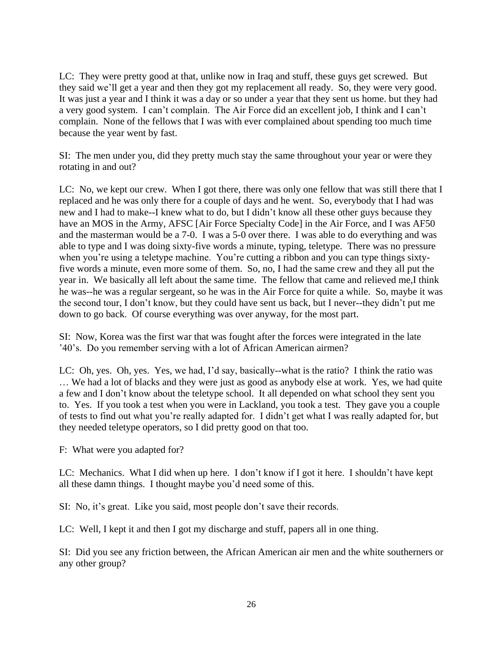LC: They were pretty good at that, unlike now in Iraq and stuff, these guys get screwed. But they said we'll get a year and then they got my replacement all ready. So, they were very good. It was just a year and I think it was a day or so under a year that they sent us home. but they had a very good system. I can't complain. The Air Force did an excellent job, I think and I can't complain. None of the fellows that I was with ever complained about spending too much time because the year went by fast.

SI: The men under you, did they pretty much stay the same throughout your year or were they rotating in and out?

LC: No, we kept our crew. When I got there, there was only one fellow that was still there that I replaced and he was only there for a couple of days and he went. So, everybody that I had was new and I had to make--I knew what to do, but I didn't know all these other guys because they have an MOS in the Army, AFSC [Air Force Specialty Code] in the Air Force, and I was AF50 and the masterman would be a 7-0. I was a 5-0 over there. I was able to do everything and was able to type and I was doing sixty-five words a minute, typing, teletype. There was no pressure when you're using a teletype machine. You're cutting a ribbon and you can type things sixtyfive words a minute, even more some of them. So, no, I had the same crew and they all put the year in. We basically all left about the same time. The fellow that came and relieved me,I think he was--he was a regular sergeant, so he was in the Air Force for quite a while. So, maybe it was the second tour, I don't know, but they could have sent us back, but I never--they didn't put me down to go back. Of course everything was over anyway, for the most part.

SI: Now, Korea was the first war that was fought after the forces were integrated in the late '40's. Do you remember serving with a lot of African American airmen?

LC: Oh, yes. Oh, yes. Yes, we had, I'd say, basically--what is the ratio? I think the ratio was … We had a lot of blacks and they were just as good as anybody else at work. Yes, we had quite a few and I don't know about the teletype school. It all depended on what school they sent you to. Yes. If you took a test when you were in Lackland, you took a test. They gave you a couple of tests to find out what you're really adapted for. I didn't get what I was really adapted for, but they needed teletype operators, so I did pretty good on that too.

F: What were you adapted for?

LC: Mechanics. What I did when up here. I don't know if I got it here. I shouldn't have kept all these damn things. I thought maybe you'd need some of this.

SI: No, it's great. Like you said, most people don't save their records.

LC: Well, I kept it and then I got my discharge and stuff, papers all in one thing.

SI: Did you see any friction between, the African American air men and the white southerners or any other group?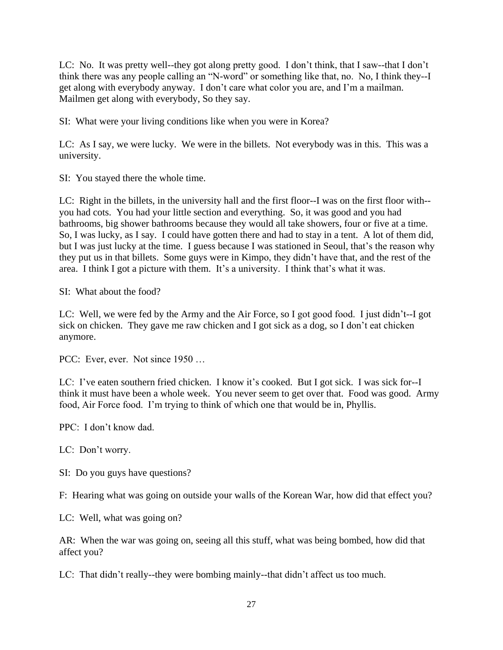LC: No. It was pretty well--they got along pretty good. I don't think, that I saw--that I don't think there was any people calling an "N-word" or something like that, no. No, I think they--I get along with everybody anyway. I don't care what color you are, and I'm a mailman. Mailmen get along with everybody, So they say.

SI: What were your living conditions like when you were in Korea?

LC: As I say, we were lucky. We were in the billets. Not everybody was in this. This was a university.

SI: You stayed there the whole time.

LC: Right in the billets, in the university hall and the first floor--I was on the first floor with- you had cots. You had your little section and everything. So, it was good and you had bathrooms, big shower bathrooms because they would all take showers, four or five at a time. So, I was lucky, as I say. I could have gotten there and had to stay in a tent. A lot of them did, but I was just lucky at the time. I guess because I was stationed in Seoul, that's the reason why they put us in that billets. Some guys were in Kimpo, they didn't have that, and the rest of the area. I think I got a picture with them. It's a university. I think that's what it was.

SI: What about the food?

LC: Well, we were fed by the Army and the Air Force, so I got good food. I just didn't--I got sick on chicken. They gave me raw chicken and I got sick as a dog, so I don't eat chicken anymore.

PCC: Ever, ever. Not since 1950 ...

LC: I've eaten southern fried chicken. I know it's cooked. But I got sick. I was sick for--I think it must have been a whole week. You never seem to get over that. Food was good. Army food, Air Force food. I'm trying to think of which one that would be in, Phyllis.

PPC: I don't know dad.

LC: Don't worry.

SI: Do you guys have questions?

F: Hearing what was going on outside your walls of the Korean War, how did that effect you?

LC: Well, what was going on?

AR: When the war was going on, seeing all this stuff, what was being bombed, how did that affect you?

LC: That didn't really--they were bombing mainly--that didn't affect us too much.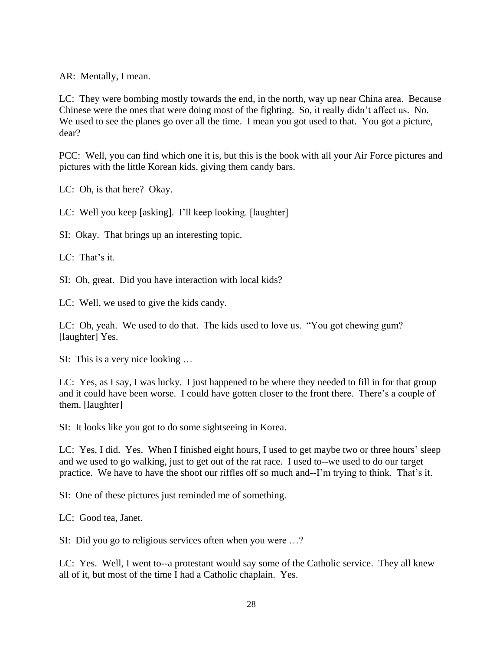AR: Mentally, I mean.

LC: They were bombing mostly towards the end, in the north, way up near China area. Because Chinese were the ones that were doing most of the fighting. So, it really didn't affect us. No. We used to see the planes go over all the time. I mean you got used to that. You got a picture, dear?

PCC: Well, you can find which one it is, but this is the book with all your Air Force pictures and pictures with the little Korean kids, giving them candy bars.

LC: Oh, is that here? Okay.

LC: Well you keep [asking]. I'll keep looking. [laughter]

SI: Okay. That brings up an interesting topic.

LC: That's it.

SI: Oh, great. Did you have interaction with local kids?

LC: Well, we used to give the kids candy.

LC: Oh, yeah. We used to do that. The kids used to love us. "You got chewing gum? [laughter] Yes.

SI: This is a very nice looking …

LC: Yes, as I say, I was lucky. I just happened to be where they needed to fill in for that group and it could have been worse. I could have gotten closer to the front there. There's a couple of them. [laughter]

SI: It looks like you got to do some sightseeing in Korea.

LC: Yes, I did. Yes. When I finished eight hours, I used to get maybe two or three hours' sleep and we used to go walking, just to get out of the rat race. I used to--we used to do our target practice. We have to have the shoot our riffles off so much and--I'm trying to think. That's it.

SI: One of these pictures just reminded me of something.

LC: Good tea, Janet.

SI: Did you go to religious services often when you were …?

LC: Yes. Well, I went to--a protestant would say some of the Catholic service. They all knew all of it, but most of the time I had a Catholic chaplain. Yes.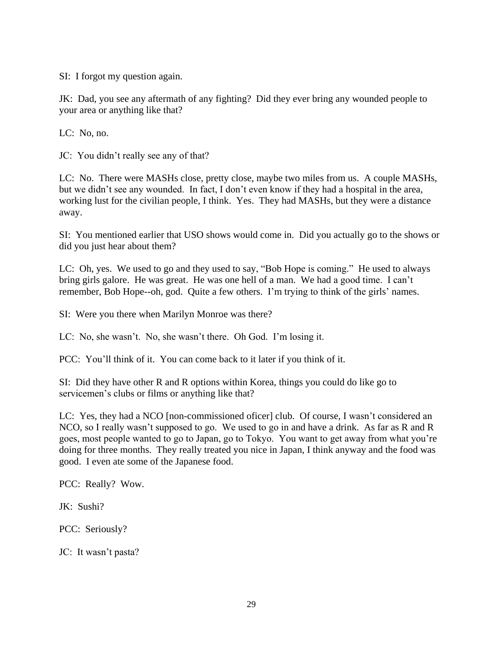SI: I forgot my question again.

JK: Dad, you see any aftermath of any fighting? Did they ever bring any wounded people to your area or anything like that?

LC: No, no.

JC: You didn't really see any of that?

LC: No. There were MASHs close, pretty close, maybe two miles from us. A couple MASHs, but we didn't see any wounded. In fact, I don't even know if they had a hospital in the area, working lust for the civilian people, I think. Yes. They had MASHs, but they were a distance away.

SI: You mentioned earlier that USO shows would come in. Did you actually go to the shows or did you just hear about them?

LC: Oh, yes. We used to go and they used to say, "Bob Hope is coming." He used to always bring girls galore. He was great. He was one hell of a man. We had a good time. I can't remember, Bob Hope--oh, god. Quite a few others. I'm trying to think of the girls' names.

SI: Were you there when Marilyn Monroe was there?

LC: No, she wasn't. No, she wasn't there. Oh God. I'm losing it.

PCC: You'll think of it. You can come back to it later if you think of it.

SI: Did they have other R and R options within Korea, things you could do like go to servicemen's clubs or films or anything like that?

LC: Yes, they had a NCO [non-commissioned oficer] club. Of course, I wasn't considered an NCO, so I really wasn't supposed to go. We used to go in and have a drink. As far as R and R goes, most people wanted to go to Japan, go to Tokyo. You want to get away from what you're doing for three months. They really treated you nice in Japan, I think anyway and the food was good. I even ate some of the Japanese food.

PCC: Really? Wow.

JK: Sushi?

PCC: Seriously?

JC: It wasn't pasta?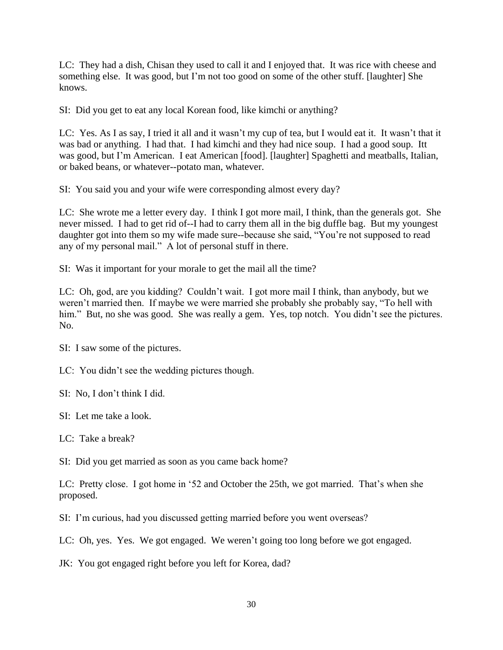LC: They had a dish, Chisan they used to call it and I enjoyed that. It was rice with cheese and something else. It was good, but I'm not too good on some of the other stuff. [laughter] She knows.

SI: Did you get to eat any local Korean food, like kimchi or anything?

LC: Yes. As I as say, I tried it all and it wasn't my cup of tea, but I would eat it. It wasn't that it was bad or anything. I had that. I had kimchi and they had nice soup. I had a good soup. Itt was good, but I'm American. I eat American [food]. [laughter] Spaghetti and meatballs, Italian, or baked beans, or whatever--potato man, whatever.

SI: You said you and your wife were corresponding almost every day?

LC: She wrote me a letter every day. I think I got more mail, I think, than the generals got. She never missed. I had to get rid of--I had to carry them all in the big duffle bag. But my youngest daughter got into them so my wife made sure--because she said, "You're not supposed to read any of my personal mail." A lot of personal stuff in there.

SI: Was it important for your morale to get the mail all the time?

LC: Oh, god, are you kidding? Couldn't wait. I got more mail I think, than anybody, but we weren't married then. If maybe we were married she probably she probably say, "To hell with him." But, no she was good. She was really a gem. Yes, top notch. You didn't see the pictures. No.

SI: I saw some of the pictures.

LC: You didn't see the wedding pictures though.

SI: No, I don't think I did.

SI: Let me take a look.

LC: Take a break?

SI: Did you get married as soon as you came back home?

LC: Pretty close. I got home in '52 and October the 25th, we got married. That's when she proposed.

SI: I'm curious, had you discussed getting married before you went overseas?

LC: Oh, yes. Yes. We got engaged. We weren't going too long before we got engaged.

JK: You got engaged right before you left for Korea, dad?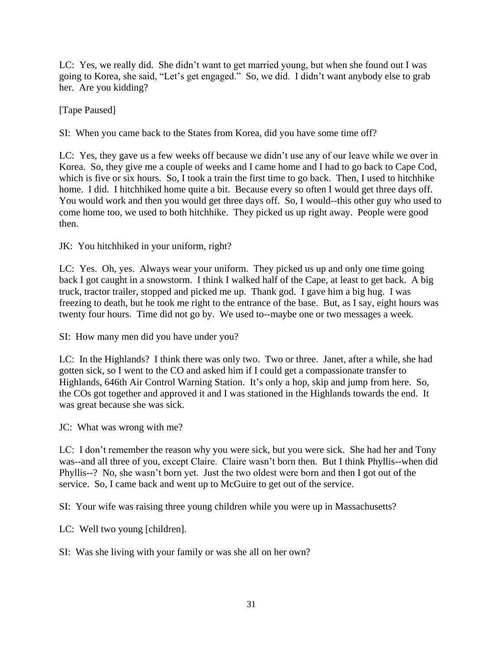LC: Yes, we really did. She didn't want to get married young, but when she found out I was going to Korea, she said, "Let's get engaged." So, we did. I didn't want anybody else to grab her. Are you kidding?

[Tape Paused]

SI: When you came back to the States from Korea, did you have some time off?

LC: Yes, they gave us a few weeks off because we didn't use any of our leave while we over in Korea. So, they give me a couple of weeks and I came home and I had to go back to Cape Cod, which is five or six hours. So, I took a train the first time to go back. Then, I used to hitchhike home. I did. I hitchhiked home quite a bit. Because every so often I would get three days off. You would work and then you would get three days off. So, I would--this other guy who used to come home too, we used to both hitchhike. They picked us up right away. People were good then.

JK: You hitchhiked in your uniform, right?

LC: Yes. Oh, yes. Always wear your uniform. They picked us up and only one time going back I got caught in a snowstorm. I think I walked half of the Cape, at least to get back. A big truck, tractor trailer, stopped and picked me up. Thank god. I gave him a big hug. I was freezing to death, but he took me right to the entrance of the base. But, as I say, eight hours was twenty four hours. Time did not go by. We used to--maybe one or two messages a week.

SI: How many men did you have under you?

LC: In the Highlands? I think there was only two. Two or three. Janet, after a while, she had gotten sick, so I went to the CO and asked him if I could get a compassionate transfer to Highlands, 646th Air Control Warning Station. It's only a hop, skip and jump from here. So, the COs got together and approved it and I was stationed in the Highlands towards the end. It was great because she was sick.

JC: What was wrong with me?

LC: I don't remember the reason why you were sick, but you were sick. She had her and Tony was--and all three of you, except Claire. Claire wasn't born then. But I think Phyllis--when did Phyllis--? No, she wasn't born yet. Just the two oldest were born and then I got out of the service. So, I came back and went up to McGuire to get out of the service.

SI: Your wife was raising three young children while you were up in Massachusetts?

LC: Well two young [children].

SI: Was she living with your family or was she all on her own?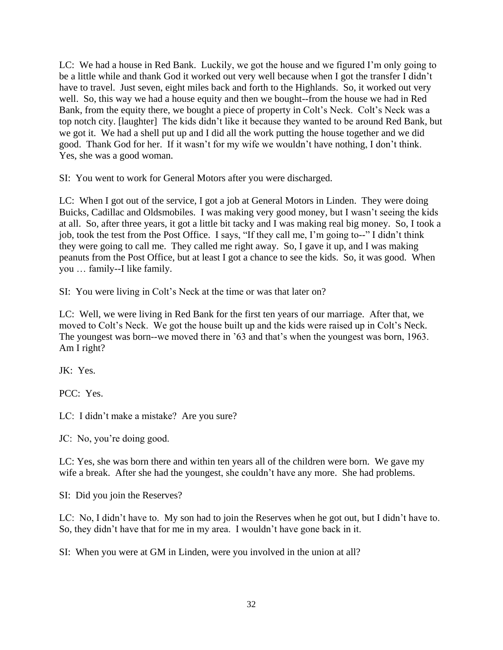LC: We had a house in Red Bank. Luckily, we got the house and we figured I'm only going to be a little while and thank God it worked out very well because when I got the transfer I didn't have to travel. Just seven, eight miles back and forth to the Highlands. So, it worked out very well. So, this way we had a house equity and then we bought--from the house we had in Red Bank, from the equity there, we bought a piece of property in Colt's Neck. Colt's Neck was a top notch city. [laughter] The kids didn't like it because they wanted to be around Red Bank, but we got it. We had a shell put up and I did all the work putting the house together and we did good. Thank God for her. If it wasn't for my wife we wouldn't have nothing, I don't think. Yes, she was a good woman.

SI: You went to work for General Motors after you were discharged.

LC: When I got out of the service, I got a job at General Motors in Linden. They were doing Buicks, Cadillac and Oldsmobiles. I was making very good money, but I wasn't seeing the kids at all. So, after three years, it got a little bit tacky and I was making real big money. So, I took a job, took the test from the Post Office. I says, "If they call me, I'm going to--" I didn't think they were going to call me. They called me right away. So, I gave it up, and I was making peanuts from the Post Office, but at least I got a chance to see the kids. So, it was good. When you … family--I like family.

SI: You were living in Colt's Neck at the time or was that later on?

LC: Well, we were living in Red Bank for the first ten years of our marriage. After that, we moved to Colt's Neck. We got the house built up and the kids were raised up in Colt's Neck. The youngest was born--we moved there in '63 and that's when the youngest was born, 1963. Am I right?

JK: Yes.

PCC: Yes.

LC: I didn't make a mistake? Are you sure?

JC: No, you're doing good.

LC: Yes, she was born there and within ten years all of the children were born. We gave my wife a break. After she had the youngest, she couldn't have any more. She had problems.

SI: Did you join the Reserves?

LC: No, I didn't have to. My son had to join the Reserves when he got out, but I didn't have to. So, they didn't have that for me in my area. I wouldn't have gone back in it.

SI: When you were at GM in Linden, were you involved in the union at all?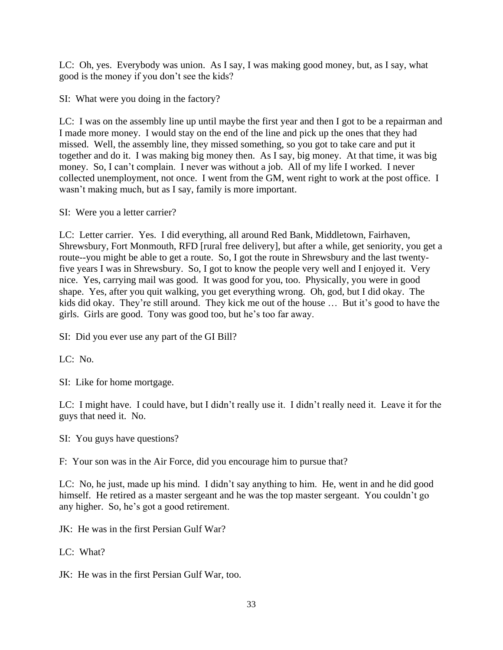LC: Oh, yes. Everybody was union. As I say, I was making good money, but, as I say, what good is the money if you don't see the kids?

SI: What were you doing in the factory?

LC: I was on the assembly line up until maybe the first year and then I got to be a repairman and I made more money. I would stay on the end of the line and pick up the ones that they had missed. Well, the assembly line, they missed something, so you got to take care and put it together and do it. I was making big money then. As I say, big money. At that time, it was big money. So, I can't complain. I never was without a job. All of my life I worked. I never collected unemployment, not once. I went from the GM, went right to work at the post office. I wasn't making much, but as I say, family is more important.

SI: Were you a letter carrier?

LC: Letter carrier. Yes. I did everything, all around Red Bank, Middletown, Fairhaven, Shrewsbury, Fort Monmouth, RFD [rural free delivery], but after a while, get seniority, you get a route--you might be able to get a route. So, I got the route in Shrewsbury and the last twentyfive years I was in Shrewsbury. So, I got to know the people very well and I enjoyed it. Very nice. Yes, carrying mail was good. It was good for you, too. Physically, you were in good shape. Yes, after you quit walking, you get everything wrong. Oh, god, but I did okay. The kids did okay. They're still around. They kick me out of the house … But it's good to have the girls. Girls are good. Tony was good too, but he's too far away.

SI: Did you ever use any part of the GI Bill?

LC: No.

SI: Like for home mortgage.

LC: I might have. I could have, but I didn't really use it. I didn't really need it. Leave it for the guys that need it. No.

SI: You guys have questions?

F: Your son was in the Air Force, did you encourage him to pursue that?

LC: No, he just, made up his mind. I didn't say anything to him. He, went in and he did good himself. He retired as a master sergeant and he was the top master sergeant. You couldn't go any higher. So, he's got a good retirement.

JK: He was in the first Persian Gulf War?

LC: What?

JK: He was in the first Persian Gulf War, too.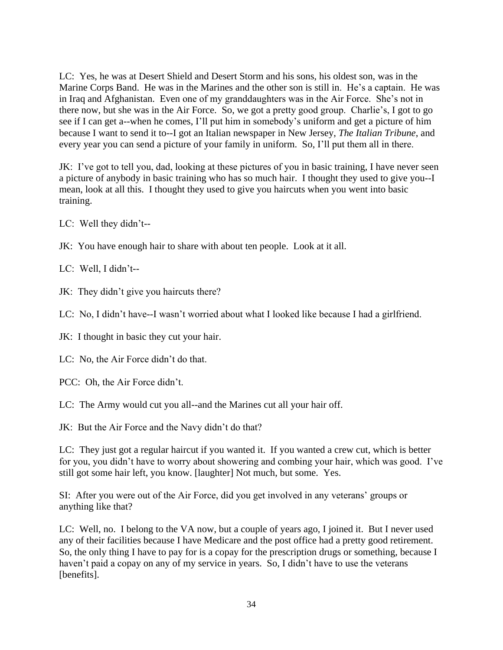LC: Yes, he was at Desert Shield and Desert Storm and his sons, his oldest son, was in the Marine Corps Band. He was in the Marines and the other son is still in. He's a captain. He was in Iraq and Afghanistan. Even one of my granddaughters was in the Air Force. She's not in there now, but she was in the Air Force. So, we got a pretty good group. Charlie's, I got to go see if I can get a--when he comes, I'll put him in somebody's uniform and get a picture of him because I want to send it to--I got an Italian newspaper in New Jersey, *The Italian Tribune*, and every year you can send a picture of your family in uniform. So, I'll put them all in there.

JK: I've got to tell you, dad, looking at these pictures of you in basic training, I have never seen a picture of anybody in basic training who has so much hair. I thought they used to give you--I mean, look at all this. I thought they used to give you haircuts when you went into basic training.

LC: Well they didn't--

JK: You have enough hair to share with about ten people. Look at it all.

LC: Well, I didn't--

JK: They didn't give you haircuts there?

LC: No, I didn't have--I wasn't worried about what I looked like because I had a girlfriend.

JK: I thought in basic they cut your hair.

LC: No, the Air Force didn't do that.

PCC: Oh, the Air Force didn't.

LC: The Army would cut you all--and the Marines cut all your hair off.

JK: But the Air Force and the Navy didn't do that?

LC: They just got a regular haircut if you wanted it. If you wanted a crew cut, which is better for you, you didn't have to worry about showering and combing your hair, which was good. I've still got some hair left, you know. [laughter] Not much, but some. Yes.

SI: After you were out of the Air Force, did you get involved in any veterans' groups or anything like that?

LC: Well, no. I belong to the VA now, but a couple of years ago, I joined it. But I never used any of their facilities because I have Medicare and the post office had a pretty good retirement. So, the only thing I have to pay for is a copay for the prescription drugs or something, because I haven't paid a copay on any of my service in years. So, I didn't have to use the veterans [benefits].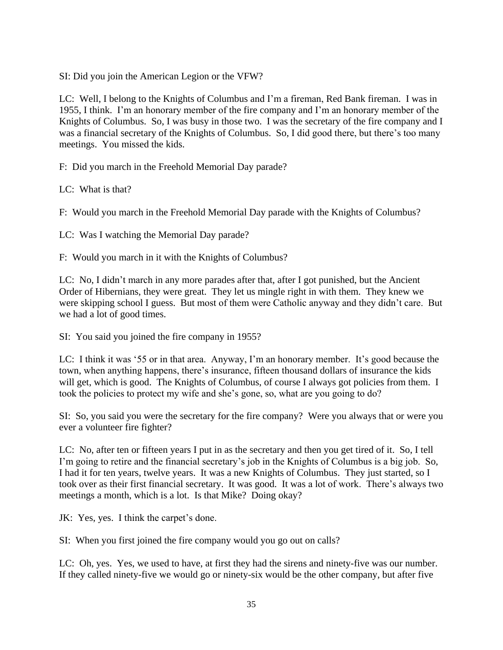SI: Did you join the American Legion or the VFW?

LC: Well, I belong to the Knights of Columbus and I'm a fireman, Red Bank fireman. I was in 1955, I think. I'm an honorary member of the fire company and I'm an honorary member of the Knights of Columbus. So, I was busy in those two. I was the secretary of the fire company and I was a financial secretary of the Knights of Columbus. So, I did good there, but there's too many meetings. You missed the kids.

F: Did you march in the Freehold Memorial Day parade?

LC: What is that?

F: Would you march in the Freehold Memorial Day parade with the Knights of Columbus?

LC: Was I watching the Memorial Day parade?

F: Would you march in it with the Knights of Columbus?

LC: No, I didn't march in any more parades after that, after I got punished, but the Ancient Order of Hibernians, they were great. They let us mingle right in with them. They knew we were skipping school I guess. But most of them were Catholic anyway and they didn't care. But we had a lot of good times.

SI: You said you joined the fire company in 1955?

LC: I think it was '55 or in that area. Anyway, I'm an honorary member. It's good because the town, when anything happens, there's insurance, fifteen thousand dollars of insurance the kids will get, which is good. The Knights of Columbus, of course I always got policies from them. I took the policies to protect my wife and she's gone, so, what are you going to do?

SI: So, you said you were the secretary for the fire company? Were you always that or were you ever a volunteer fire fighter?

LC: No, after ten or fifteen years I put in as the secretary and then you get tired of it. So, I tell I'm going to retire and the financial secretary's job in the Knights of Columbus is a big job. So, I had it for ten years, twelve years. It was a new Knights of Columbus. They just started, so I took over as their first financial secretary. It was good. It was a lot of work. There's always two meetings a month, which is a lot. Is that Mike? Doing okay?

JK: Yes, yes. I think the carpet's done.

SI: When you first joined the fire company would you go out on calls?

LC: Oh, yes. Yes, we used to have, at first they had the sirens and ninety-five was our number. If they called ninety-five we would go or ninety-six would be the other company, but after five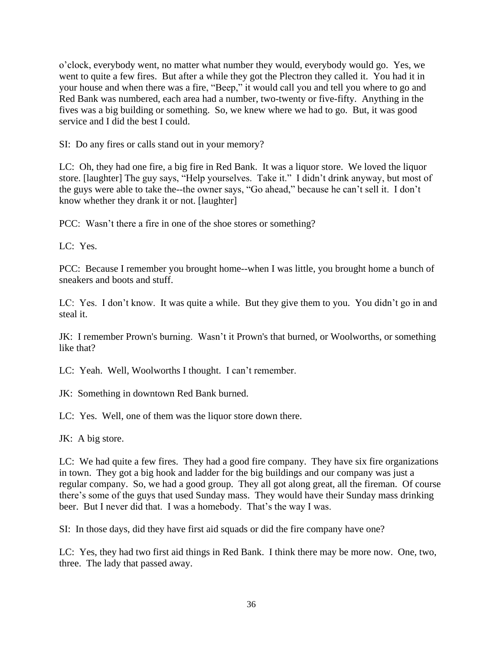o'clock, everybody went, no matter what number they would, everybody would go. Yes, we went to quite a few fires. But after a while they got the Plectron they called it. You had it in your house and when there was a fire, "Beep," it would call you and tell you where to go and Red Bank was numbered, each area had a number, two-twenty or five-fifty. Anything in the fives was a big building or something. So, we knew where we had to go. But, it was good service and I did the best I could.

SI: Do any fires or calls stand out in your memory?

LC: Oh, they had one fire, a big fire in Red Bank. It was a liquor store. We loved the liquor store. [laughter] The guy says, "Help yourselves. Take it." I didn't drink anyway, but most of the guys were able to take the--the owner says, "Go ahead," because he can't sell it. I don't know whether they drank it or not. [laughter]

PCC: Wasn't there a fire in one of the shoe stores or something?

LC: Yes.

PCC: Because I remember you brought home--when I was little, you brought home a bunch of sneakers and boots and stuff.

LC: Yes. I don't know. It was quite a while. But they give them to you. You didn't go in and steal it.

JK: I remember Prown's burning. Wasn't it Prown's that burned, or Woolworths, or something like that?

LC: Yeah. Well, Woolworths I thought. I can't remember.

JK: Something in downtown Red Bank burned.

LC: Yes. Well, one of them was the liquor store down there.

JK: A big store.

LC: We had quite a few fires. They had a good fire company. They have six fire organizations in town. They got a big hook and ladder for the big buildings and our company was just a regular company. So, we had a good group. They all got along great, all the fireman. Of course there's some of the guys that used Sunday mass. They would have their Sunday mass drinking beer. But I never did that. I was a homebody. That's the way I was.

SI: In those days, did they have first aid squads or did the fire company have one?

LC: Yes, they had two first aid things in Red Bank. I think there may be more now. One, two, three. The lady that passed away.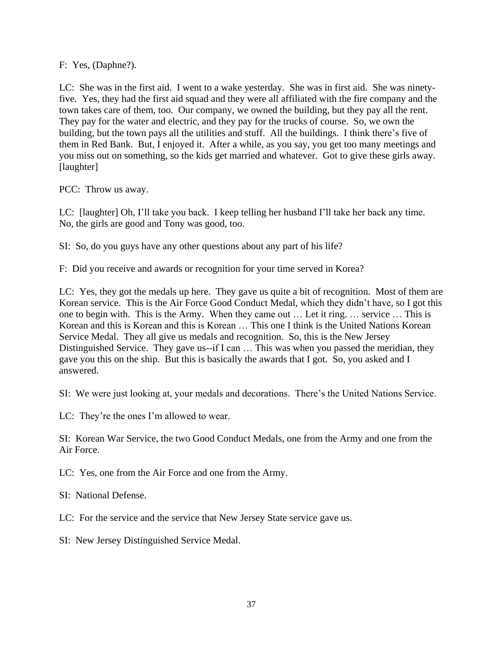F: Yes, (Daphne?).

LC: She was in the first aid. I went to a wake yesterday. She was in first aid. She was ninetyfive. Yes, they had the first aid squad and they were all affiliated with the fire company and the town takes care of them, too. Our company, we owned the building, but they pay all the rent. They pay for the water and electric, and they pay for the trucks of course. So, we own the building, but the town pays all the utilities and stuff. All the buildings. I think there's five of them in Red Bank. But, I enjoyed it. After a while, as you say, you get too many meetings and you miss out on something, so the kids get married and whatever. Got to give these girls away. [laughter]

PCC: Throw us away.

LC: [laughter] Oh, I'll take you back. I keep telling her husband I'll take her back any time. No, the girls are good and Tony was good, too.

SI: So, do you guys have any other questions about any part of his life?

F: Did you receive and awards or recognition for your time served in Korea?

LC: Yes, they got the medals up here. They gave us quite a bit of recognition. Most of them are Korean service. This is the Air Force Good Conduct Medal, which they didn't have, so I got this one to begin with. This is the Army. When they came out … Let it ring. … service … This is Korean and this is Korean and this is Korean … This one I think is the United Nations Korean Service Medal. They all give us medals and recognition. So, this is the New Jersey Distinguished Service. They gave us--if I can … This was when you passed the meridian, they gave you this on the ship. But this is basically the awards that I got. So, you asked and I answered.

SI: We were just looking at, your medals and decorations. There's the United Nations Service.

LC: They're the ones I'm allowed to wear.

SI: Korean War Service, the two Good Conduct Medals, one from the Army and one from the Air Force.

LC: Yes, one from the Air Force and one from the Army.

SI: National Defense.

LC: For the service and the service that New Jersey State service gave us.

SI: New Jersey Distinguished Service Medal.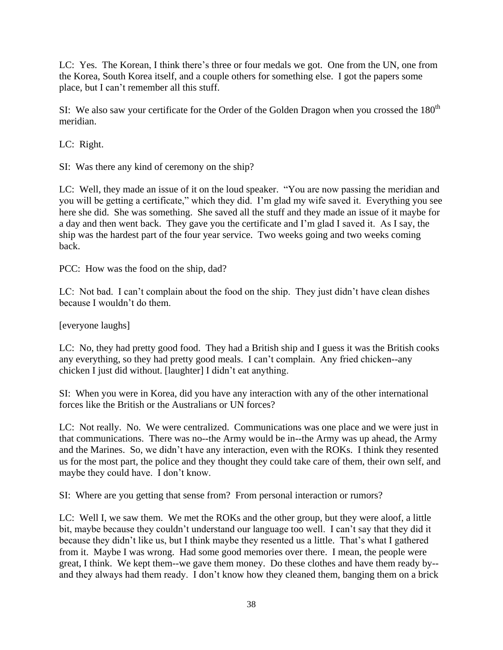LC: Yes. The Korean, I think there's three or four medals we got. One from the UN, one from the Korea, South Korea itself, and a couple others for something else. I got the papers some place, but I can't remember all this stuff.

SI: We also saw your certificate for the Order of the Golden Dragon when you crossed the  $180<sup>th</sup>$ meridian.

LC: Right.

SI: Was there any kind of ceremony on the ship?

LC: Well, they made an issue of it on the loud speaker. "You are now passing the meridian and you will be getting a certificate," which they did. I'm glad my wife saved it. Everything you see here she did. She was something. She saved all the stuff and they made an issue of it maybe for a day and then went back. They gave you the certificate and I'm glad I saved it. As I say, the ship was the hardest part of the four year service. Two weeks going and two weeks coming back.

PCC: How was the food on the ship, dad?

LC: Not bad. I can't complain about the food on the ship. They just didn't have clean dishes because I wouldn't do them.

[everyone laughs]

LC: No, they had pretty good food. They had a British ship and I guess it was the British cooks any everything, so they had pretty good meals. I can't complain. Any fried chicken--any chicken I just did without. [laughter] I didn't eat anything.

SI: When you were in Korea, did you have any interaction with any of the other international forces like the British or the Australians or UN forces?

LC: Not really. No. We were centralized. Communications was one place and we were just in that communications. There was no--the Army would be in--the Army was up ahead, the Army and the Marines. So, we didn't have any interaction, even with the ROKs. I think they resented us for the most part, the police and they thought they could take care of them, their own self, and maybe they could have. I don't know.

SI: Where are you getting that sense from? From personal interaction or rumors?

LC: Well I, we saw them. We met the ROKs and the other group, but they were aloof, a little bit, maybe because they couldn't understand our language too well. I can't say that they did it because they didn't like us, but I think maybe they resented us a little. That's what I gathered from it. Maybe I was wrong. Had some good memories over there. I mean, the people were great, I think. We kept them--we gave them money. Do these clothes and have them ready by- and they always had them ready. I don't know how they cleaned them, banging them on a brick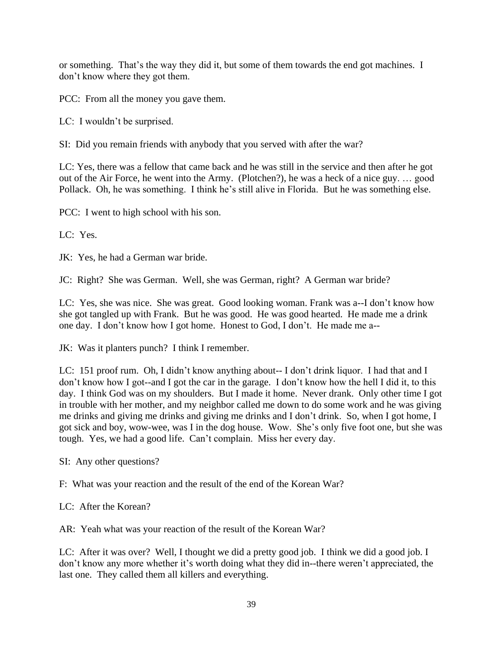or something. That's the way they did it, but some of them towards the end got machines. I don't know where they got them.

PCC: From all the money you gave them.

LC: I wouldn't be surprised.

SI: Did you remain friends with anybody that you served with after the war?

LC: Yes, there was a fellow that came back and he was still in the service and then after he got out of the Air Force, he went into the Army. (Plotchen?), he was a heck of a nice guy. … good Pollack. Oh, he was something. I think he's still alive in Florida. But he was something else.

PCC: I went to high school with his son.

LC: Yes.

JK: Yes, he had a German war bride.

JC: Right? She was German. Well, she was German, right? A German war bride?

LC: Yes, she was nice. She was great. Good looking woman. Frank was a--I don't know how she got tangled up with Frank. But he was good. He was good hearted. He made me a drink one day. I don't know how I got home. Honest to God, I don't. He made me a--

JK: Was it planters punch? I think I remember.

LC: 151 proof rum. Oh, I didn't know anything about-- I don't drink liquor. I had that and I don't know how I got--and I got the car in the garage. I don't know how the hell I did it, to this day. I think God was on my shoulders. But I made it home. Never drank. Only other time I got in trouble with her mother, and my neighbor called me down to do some work and he was giving me drinks and giving me drinks and giving me drinks and I don't drink. So, when I got home, I got sick and boy, wow-wee, was I in the dog house. Wow. She's only five foot one, but she was tough. Yes, we had a good life. Can't complain. Miss her every day.

SI: Any other questions?

F: What was your reaction and the result of the end of the Korean War?

LC: After the Korean?

AR: Yeah what was your reaction of the result of the Korean War?

LC: After it was over? Well, I thought we did a pretty good job. I think we did a good job. I don't know any more whether it's worth doing what they did in--there weren't appreciated, the last one. They called them all killers and everything.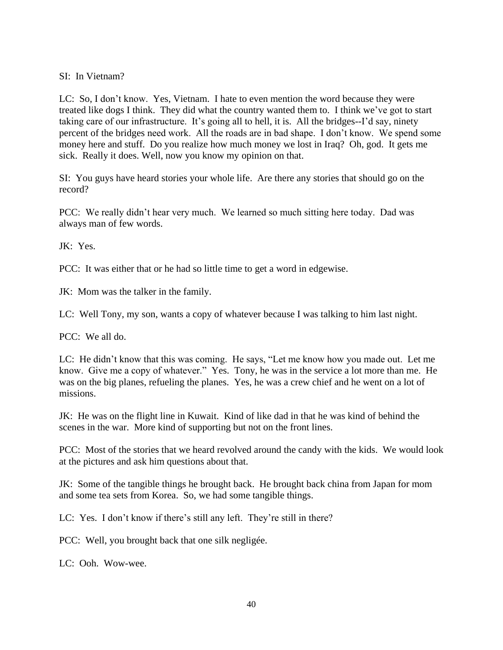SI: In Vietnam?

LC: So, I don't know. Yes, Vietnam. I hate to even mention the word because they were treated like dogs I think. They did what the country wanted them to. I think we've got to start taking care of our infrastructure. It's going all to hell, it is. All the bridges--I'd say, ninety percent of the bridges need work. All the roads are in bad shape. I don't know. We spend some money here and stuff. Do you realize how much money we lost in Iraq? Oh, god. It gets me sick. Really it does. Well, now you know my opinion on that.

SI: You guys have heard stories your whole life. Are there any stories that should go on the record?

PCC: We really didn't hear very much. We learned so much sitting here today. Dad was always man of few words.

JK: Yes.

PCC: It was either that or he had so little time to get a word in edgewise.

JK: Mom was the talker in the family.

LC: Well Tony, my son, wants a copy of whatever because I was talking to him last night.

PCC: We all do.

LC: He didn't know that this was coming. He says, "Let me know how you made out. Let me know. Give me a copy of whatever." Yes. Tony, he was in the service a lot more than me. He was on the big planes, refueling the planes. Yes, he was a crew chief and he went on a lot of missions.

JK: He was on the flight line in Kuwait. Kind of like dad in that he was kind of behind the scenes in the war. More kind of supporting but not on the front lines.

PCC: Most of the stories that we heard revolved around the candy with the kids. We would look at the pictures and ask him questions about that.

JK: Some of the tangible things he brought back. He brought back china from Japan for mom and some tea sets from Korea. So, we had some tangible things.

LC: Yes. I don't know if there's still any left. They're still in there?

PCC: Well, you brought back that one silk negligée.

LC: Ooh. Wow-wee.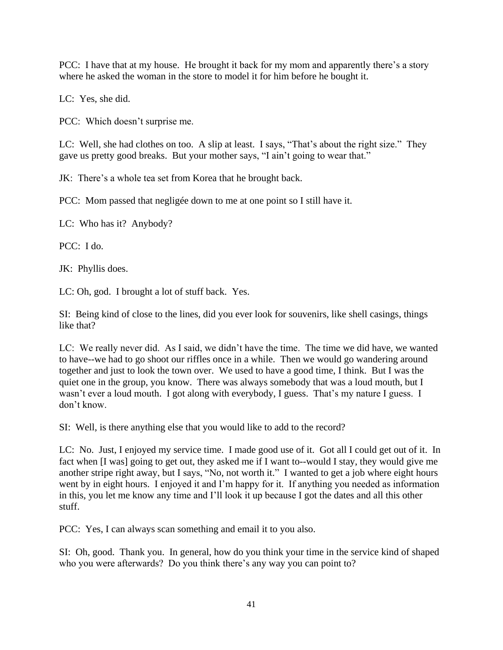PCC: I have that at my house. He brought it back for my mom and apparently there's a story where he asked the woman in the store to model it for him before he bought it.

LC: Yes, she did.

PCC: Which doesn't surprise me.

LC: Well, she had clothes on too. A slip at least. I says, "That's about the right size." They gave us pretty good breaks. But your mother says, "I ain't going to wear that."

JK: There's a whole tea set from Korea that he brought back.

PCC: Mom passed that negligée down to me at one point so I still have it.

LC: Who has it? Anybody?

PCC: I do.

JK: Phyllis does.

LC: Oh, god. I brought a lot of stuff back. Yes.

SI: Being kind of close to the lines, did you ever look for souvenirs, like shell casings, things like that?

LC: We really never did. As I said, we didn't have the time. The time we did have, we wanted to have--we had to go shoot our riffles once in a while. Then we would go wandering around together and just to look the town over. We used to have a good time, I think. But I was the quiet one in the group, you know. There was always somebody that was a loud mouth, but I wasn't ever a loud mouth. I got along with everybody, I guess. That's my nature I guess. I don't know.

SI: Well, is there anything else that you would like to add to the record?

LC: No. Just, I enjoyed my service time. I made good use of it. Got all I could get out of it. In fact when [I was] going to get out, they asked me if I want to--would I stay, they would give me another stripe right away, but I says, "No, not worth it." I wanted to get a job where eight hours went by in eight hours. I enjoyed it and I'm happy for it. If anything you needed as information in this, you let me know any time and I'll look it up because I got the dates and all this other stuff.

PCC: Yes, I can always scan something and email it to you also.

SI: Oh, good. Thank you. In general, how do you think your time in the service kind of shaped who you were afterwards? Do you think there's any way you can point to?